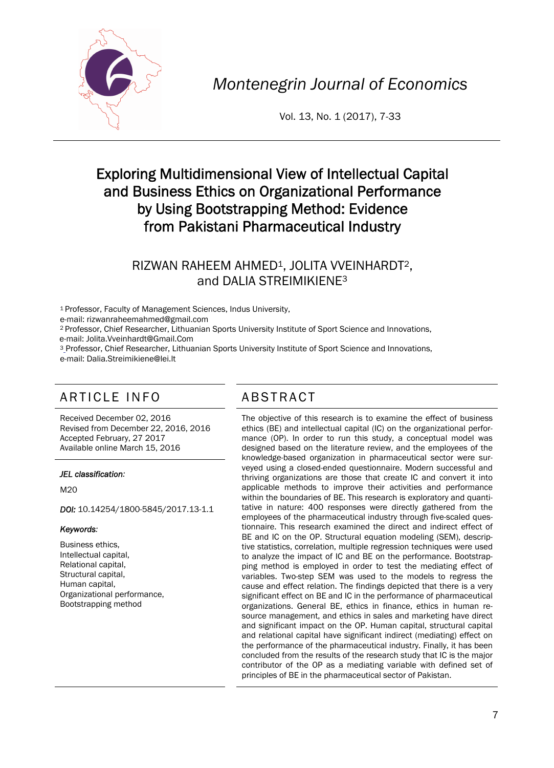

*Montenegrin Journal of Economics* 

Vol. 13, No. 1 (2017), 7-33

# Exploring Multidimensional View of Intellectual Capital and Business Ethics on Organizational Performance by Using Bootstrapping Method: Evidence from Pakistani Pharmaceutical Industry

## RIZWAN RAHEEM AHMED<sup>1</sup>, JOLITA VVEINHARDT<sup>2</sup>, and DALIA STREIMIKIENE3

1 Professor, Faculty of Management Sciences, Indus University,

e-mail: rizwanraheemahmed@gmail.com

2 Professor, Chief Researcher, Lithuanian Sports University Institute of Sport Science and Innovations, e-mail: Jolita.Vveinhardt@Gmail.Com

<sup>3</sup> Professor, Chief Researcher, Lithuanian Sports University Institute of Sport Science and Innovations, e-mail: Dalia.Streimikiene@lei.lt

# ARTICLE INFO ABSTRACT

Received December 02, 2016 Revised from December 22, 2016, 2016 Accepted February, 27 2017 Available online March 15, 2016

#### *JEL classification:*

M20

*DOI:* 10.14254/1800-5845/2017.13-1.1

#### *Keywords:*

Business ethics, Intellectual capital, Relational capital, Structural capital, Human capital, Organizational performance, Bootstrapping method

 The objective of this research is to examine the effect of business ethics (BE) and intellectual capital (IC) on the organizational performance (OP). In order to run this study, a conceptual model was designed based on the literature review, and the employees of the knowledge-based organization in pharmaceutical sector were surveyed using a closed-ended questionnaire. Modern successful and thriving organizations are those that create IC and convert it into applicable methods to improve their activities and performance within the boundaries of BE. This research is exploratory and quantitative in nature: 400 responses were directly gathered from the employees of the pharmaceutical industry through five-scaled questionnaire. This research examined the direct and indirect effect of BE and IC on the OP. Structural equation modeling (SEM), descriptive statistics, correlation, multiple regression techniques were used to analyze the impact of IC and BE on the performance. Bootstrapping method is employed in order to test the mediating effect of variables. Two-step SEM was used to the models to regress the cause and effect relation. The findings depicted that there is a very significant effect on BE and IC in the performance of pharmaceutical organizations. General BE, ethics in finance, ethics in human resource management, and ethics in sales and marketing have direct and significant impact on the OP. Human capital, structural capital and relational capital have significant indirect (mediating) effect on the performance of the pharmaceutical industry. Finally, it has been concluded from the results of the research study that IC is the major contributor of the OP as a mediating variable with defined set of principles of BE in the pharmaceutical sector of Pakistan.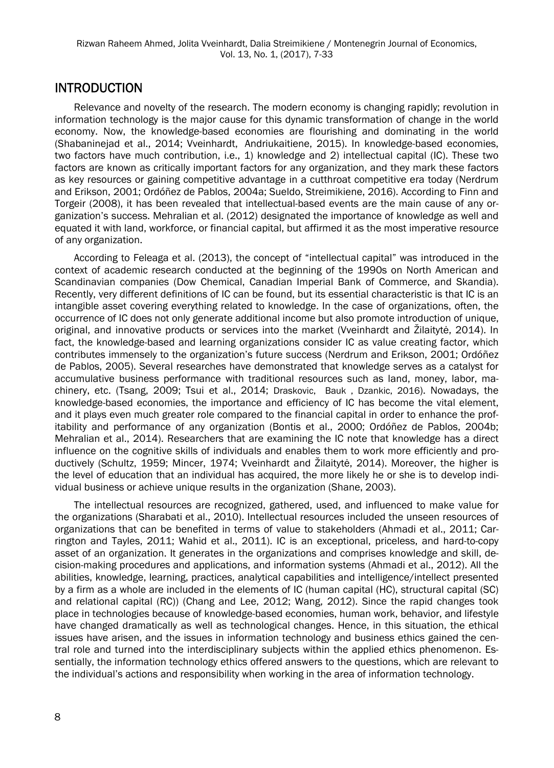## INTRODUCTION

Relevance and novelty of the research. The modern economy is changing rapidly; revolution in information technology is the major cause for this dynamic transformation of change in the world economy. Now, the knowledge-based economies are flourishing and dominating in the world (Shabaninejad et al., 2014; Vveinhardt, Andriukaitiene, 2015). In knowledge-based economies, two factors have much contribution, i.e., 1) knowledge and 2) intellectual capital (IC). These two factors are known as critically important factors for any organization, and they mark these factors as key resources or gaining competitive advantage in a cutthroat competitive era today (Nerdrum and Erikson, 2001; Ordóñez de Pablos, 2004a; Sueldo, Streimikiene, 2016). According to Finn and Torgeir (2008), it has been revealed that intellectual-based events are the main cause of any organization's success. Mehralian et al. (2012) designated the importance of knowledge as well and equated it with land, workforce, or financial capital, but affirmed it as the most imperative resource of any organization.

According to Feleaga et al. (2013), the concept of "intellectual capital" was introduced in the context of academic research conducted at the beginning of the 1990s on North American and Scandinavian companies (Dow Chemical, Canadian Imperial Bank of Commerce, and Skandia). Recently, very different definitions of IC can be found, but its essential characteristic is that IC is an intangible asset covering everything related to knowledge. In the case of organizations, often, the occurrence of IC does not only generate additional income but also promote introduction of unique, original, and innovative products or services into the market (Vveinhardt and Žilaitytė, 2014). In fact, the knowledge-based and learning organizations consider IC as value creating factor, which contributes immensely to the organization's future success (Nerdrum and Erikson, 2001; Ordóñez de Pablos, 2005). Several researches have demonstrated that knowledge serves as a catalyst for accumulative business performance with traditional resources such as land, money, labor, machinery, etc. (Tsang, 2009; Tsui et al., 2014; Draskovic, Bauk , Dzankic, 2016). Nowadays, the knowledge-based economies, the importance and efficiency of IC has become the vital element, and it plays even much greater role compared to the financial capital in order to enhance the profitability and performance of any organization (Bontis et al., 2000; Ordóñez de Pablos, 2004b; Mehralian et al., 2014). Researchers that are examining the IC note that knowledge has a direct influence on the cognitive skills of individuals and enables them to work more efficiently and productively (Schultz, 1959; Mincer, 1974; Vveinhardt and Žilaitytė, 2014). Moreover, the higher is the level of education that an individual has acquired, the more likely he or she is to develop individual business or achieve unique results in the organization (Shane, 2003).

The intellectual resources are recognized, gathered, used, and influenced to make value for the organizations (Sharabati et al., 2010). Intellectual resources included the unseen resources of organizations that can be benefited in terms of value to stakeholders (Ahmadi et al., 2011; Carrington and Tayles, 2011; Wahid et al., 2011). IC is an exceptional, priceless, and hard-to-copy asset of an organization. It generates in the organizations and comprises knowledge and skill, decision-making procedures and applications, and information systems (Ahmadi et al., 2012). All the abilities, knowledge, learning, practices, analytical capabilities and intelligence/intellect presented by a firm as a whole are included in the elements of IC (human capital (HC), structural capital (SC) and relational capital (RC)) (Chang and Lee, 2012; Wang, 2012). Since the rapid changes took place in technologies because of knowledge-based economies, human work, behavior, and lifestyle have changed dramatically as well as technological changes. Hence, in this situation, the ethical issues have arisen, and the issues in information technology and business ethics gained the central role and turned into the interdisciplinary subjects within the applied ethics phenomenon. Essentially, the information technology ethics offered answers to the questions, which are relevant to the individual's actions and responsibility when working in the area of information technology.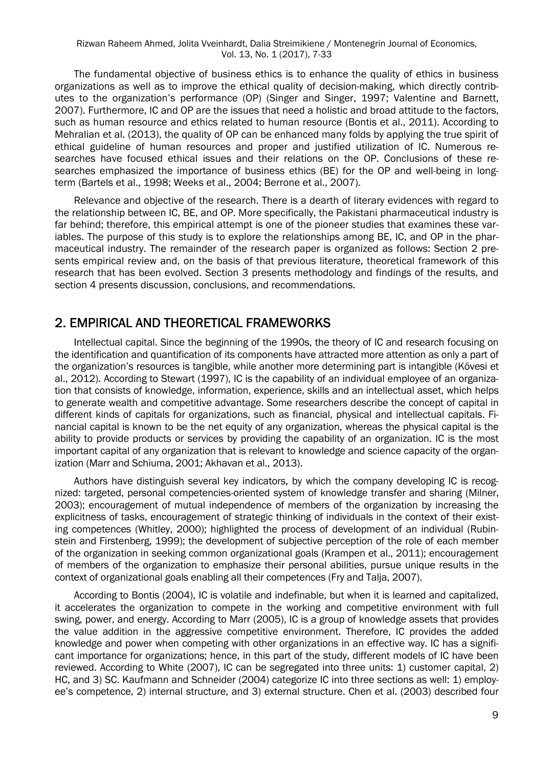The fundamental objective of business ethics is to enhance the quality of ethics in business organizations as well as to improve the ethical quality of decision-making, which directly contributes to the organization's performance (OP) (Singer and Singer, 1997; Valentine and Barnett, 2007). Furthermore, IC and OP are the issues that need a holistic and broad attitude to the factors, such as human resource and ethics related to human resource (Bontis et al., 2011). According to Mehralian et al. (2013), the quality of OP can be enhanced many folds by applying the true spirit of ethical guideline of human resources and proper and justified utilization of IC. Numerous researches have focused ethical issues and their relations on the OP. Conclusions of these researches emphasized the importance of business ethics (BE) for the OP and well-being in longterm (Bartels et al., 1998; Weeks et al., 2004; Berrone et al., 2007).

Relevance and objective of the research. There is a dearth of literary evidences with regard to the relationship between IC, BE, and OP. More specifically, the Pakistani pharmaceutical industry is far behind; therefore, this empirical attempt is one of the pioneer studies that examines these variables. The purpose of this study is to explore the relationships among BE, IC, and OP in the pharmaceutical industry. The remainder of the research paper is organized as follows: Section 2 presents empirical review and, on the basis of that previous literature, theoretical framework of this research that has been evolved. Section 3 presents methodology and findings of the results, and section 4 presents discussion, conclusions, and recommendations.

## 2. EMPIRICAL AND THEORETICAL FRAMEWORKS

Intellectual capital. Since the beginning of the 1990s, the theory of IC and research focusing on the identification and quantification of its components have attracted more attention as only a part of the organization's resources is tangible, while another more determining part is intangible (Kövesi et al., 2012). According to Stewart (1997), IC is the capability of an individual employee of an organization that consists of knowledge, information, experience, skills and an intellectual asset, which helps to generate wealth and competitive advantage. Some researchers describe the concept of capital in different kinds of capitals for organizations, such as financial, physical and intellectual capitals. Financial capital is known to be the net equity of any organization, whereas the physical capital is the ability to provide products or services by providing the capability of an organization. IC is the most important capital of any organization that is relevant to knowledge and science capacity of the organization (Marr and Schiuma, 2001; Akhavan et al., 2013).

Authors have distinguish several key indicators, by which the company developing IC is recognized: targeted, personal competencies-oriented system of knowledge transfer and sharing (Milner, 2003); encouragement of mutual independence of members of the organization by increasing the explicitness of tasks, encouragement of strategic thinking of individuals in the context of their existing competences (Whitley, 2000); highlighted the process of development of an individual (Rubinstein and Firstenberg, 1999); the development of subjective perception of the role of each member of the organization in seeking common organizational goals (Krampen et al., 2011); encouragement of members of the organization to emphasize their personal abilities, pursue unique results in the context of organizational goals enabling all their competences (Fry and Talja, 2007).

According to Bontis (2004), IC is volatile and indefinable, but when it is learned and capitalized, it accelerates the organization to compete in the working and competitive environment with full swing, power, and energy. According to Marr (2005), IC is a group of knowledge assets that provides the value addition in the aggressive competitive environment. Therefore, IC provides the added knowledge and power when competing with other organizations in an effective way. IC has a significant importance for organizations; hence, in this part of the study, different models of IC have been reviewed. According to White (2007), IC can be segregated into three units: 1) customer capital, 2) HC, and 3) SC. Kaufmann and Schneider (2004) categorize IC into three sections as well: 1) employee's competence, 2) internal structure, and 3) external structure. Chen et al. (2003) described four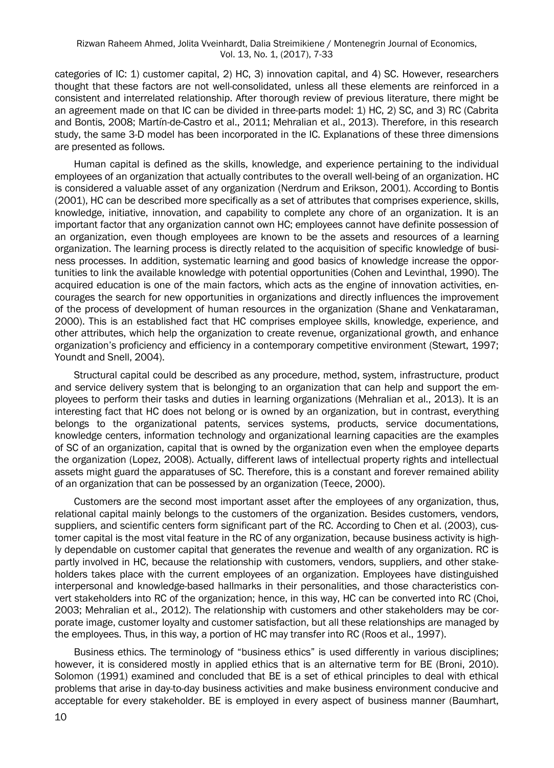categories of IC: 1) customer capital, 2) HC, 3) innovation capital, and 4) SC. However, researchers thought that these factors are not well-consolidated, unless all these elements are reinforced in a consistent and interrelated relationship. After thorough review of previous literature, there might be an agreement made on that IC can be divided in three-parts model: 1) HC, 2) SC, and 3) RC (Cabrita and Bontis, 2008; Martín-de-Castro et al., 2011; Mehralian et al., 2013). Therefore, in this research study, the same 3-D model has been incorporated in the IC. Explanations of these three dimensions are presented as follows.

Human capital is defined as the skills, knowledge, and experience pertaining to the individual employees of an organization that actually contributes to the overall well-being of an organization. HC is considered a valuable asset of any organization (Nerdrum and Erikson, 2001). According to Bontis (2001), HC can be described more specifically as a set of attributes that comprises experience, skills, knowledge, initiative, innovation, and capability to complete any chore of an organization. It is an important factor that any organization cannot own HC; employees cannot have definite possession of an organization, even though employees are known to be the assets and resources of a learning organization. The learning process is directly related to the acquisition of specific knowledge of business processes. In addition, systematic learning and good basics of knowledge increase the opportunities to link the available knowledge with potential opportunities (Cohen and Levinthal, 1990). The acquired education is one of the main factors, which acts as the engine of innovation activities, encourages the search for new opportunities in organizations and directly influences the improvement of the process of development of human resources in the organization (Shane and Venkataraman, 2000). This is an established fact that HC comprises employee skills, knowledge, experience, and other attributes, which help the organization to create revenue, organizational growth, and enhance organization's proficiency and efficiency in a contemporary competitive environment (Stewart, 1997; Youndt and Snell, 2004).

Structural capital could be described as any procedure, method, system, infrastructure, product and service delivery system that is belonging to an organization that can help and support the employees to perform their tasks and duties in learning organizations (Mehralian et al., 2013). It is an interesting fact that HC does not belong or is owned by an organization, but in contrast, everything belongs to the organizational patents, services systems, products, service documentations, knowledge centers, information technology and organizational learning capacities are the examples of SC of an organization, capital that is owned by the organization even when the employee departs the organization (Lopez, 2008). Actually, different laws of intellectual property rights and intellectual assets might guard the apparatuses of SC. Therefore, this is a constant and forever remained ability of an organization that can be possessed by an organization (Teece, 2000).

Customers are the second most important asset after the employees of any organization, thus, relational capital mainly belongs to the customers of the organization. Besides customers, vendors, suppliers, and scientific centers form significant part of the RC. According to Chen et al. (2003), customer capital is the most vital feature in the RC of any organization, because business activity is highly dependable on customer capital that generates the revenue and wealth of any organization. RC is partly involved in HC, because the relationship with customers, vendors, suppliers, and other stakeholders takes place with the current employees of an organization. Employees have distinguished interpersonal and knowledge-based hallmarks in their personalities, and those characteristics convert stakeholders into RC of the organization; hence, in this way, HC can be converted into RC (Choi, 2003; Mehralian et al., 2012). The relationship with customers and other stakeholders may be corporate image, customer loyalty and customer satisfaction, but all these relationships are managed by the employees. Thus, in this way, a portion of HC may transfer into RC (Roos et al., 1997).

Business ethics. The terminology of "business ethics" is used differently in various disciplines; however, it is considered mostly in applied ethics that is an alternative term for BE (Broni, 2010). Solomon (1991) examined and concluded that BE is a set of ethical principles to deal with ethical problems that arise in day-to-day business activities and make business environment conducive and acceptable for every stakeholder. BE is employed in every aspect of business manner (Baumhart,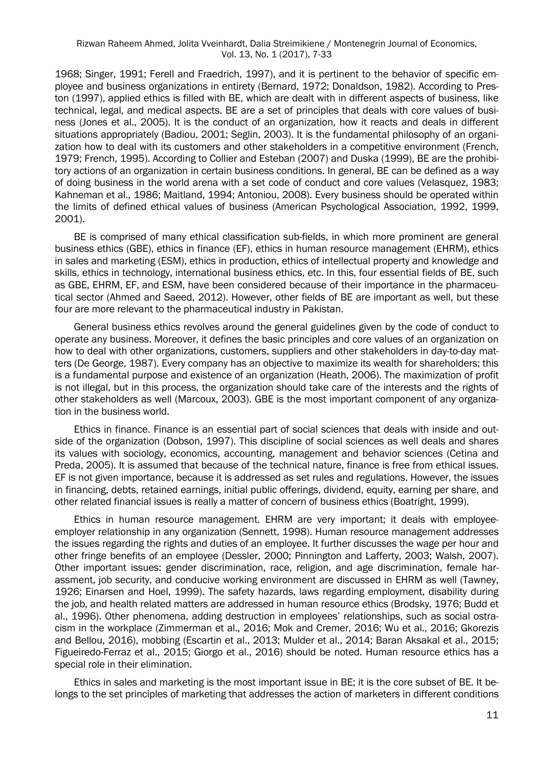1968; Singer, 1991; Ferell and Fraedrich, 1997), and it is pertinent to the behavior of specific employee and business organizations in entirety (Bernard, 1972; Donaldson, 1982). According to Preston (1997), applied ethics is filled with BE, which are dealt with in different aspects of business, like technical, legal, and medical aspects. BE are a set of principles that deals with core values of business (Jones et al., 2005). It is the conduct of an organization, how it reacts and deals in different situations appropriately (Badiou, 2001; Seglin, 2003). It is the fundamental philosophy of an organization how to deal with its customers and other stakeholders in a competitive environment (French, 1979; French, 1995). According to Collier and Esteban (2007) and Duska (1999), BE are the prohibitory actions of an organization in certain business conditions. In general, BE can be defined as a way of doing business in the world arena with a set code of conduct and core values (Velasquez, 1983; Kahneman et al., 1986; Maitland, 1994; Antoniou, 2008). Every business should be operated within the limits of defined ethical values of business (American Psychological Association, 1992, 1999, 2001).

BE is comprised of many ethical classification sub-fields, in which more prominent are general business ethics (GBE), ethics in finance (EF), ethics in human resource management (EHRM), ethics in sales and marketing (ESM), ethics in production, ethics of intellectual property and knowledge and skills, ethics in technology, international business ethics, etc. In this, four essential fields of BE, such as GBE, EHRM, EF, and ESM, have been considered because of their importance in the pharmaceutical sector (Ahmed and Saeed, 2012). However, other fields of BE are important as well, but these four are more relevant to the pharmaceutical industry in Pakistan.

General business ethics revolves around the general guidelines given by the code of conduct to operate any business. Moreover, it defines the basic principles and core values of an organization on how to deal with other organizations, customers, suppliers and other stakeholders in day-to-day matters (De George, 1987). Every company has an objective to maximize its wealth for shareholders; this is a fundamental purpose and existence of an organization (Heath, 2006). The maximization of profit is not illegal, but in this process, the organization should take care of the interests and the rights of other stakeholders as well (Marcoux, 2003). GBE is the most important component of any organization in the business world.

Ethics in finance. Finance is an essential part of social sciences that deals with inside and outside of the organization (Dobson, 1997). This discipline of social sciences as well deals and shares its values with sociology, economics, accounting, management and behavior sciences (Cetina and Preda, 2005). It is assumed that because of the technical nature, finance is free from ethical issues. EF is not given importance, because it is addressed as set rules and regulations. However, the issues in financing, debts, retained earnings, initial public offerings, dividend, equity, earning per share, and other related financial issues is really a matter of concern of business ethics (Boatright, 1999).

Ethics in human resource management. EHRM are very important; it deals with employeeemployer relationship in any organization (Sennett, 1998). Human resource management addresses the issues regarding the rights and duties of an employee. It further discusses the wage per hour and other fringe benefits of an employee (Dessler, 2000; Pinnington and Lafferty, 2003; Walsh, 2007). Other important issues: gender discrimination, race, religion, and age discrimination, female harassment, job security, and conducive working environment are discussed in EHRM as well (Tawney, 1926; Einarsen and Hoel, 1999). The safety hazards, laws regarding employment, disability during the job, and health related matters are addressed in human resource ethics (Brodsky, 1976; Budd et al., 1996). Other phenomena, adding destruction in employees' relationships, such as social ostracism in the workplace (Zimmerman et al., 2016; Mok and Cremer, 2016; Wu et al., 2016; Gkorezis and Bellou, 2016), mobbing (Escartin et al., 2013; Mulder et al., 2014; Baran Aksakal et al., 2015; Figueiredo-Ferraz et al., 2015; Giorgo et al., 2016) should be noted. Human resource ethics has a special role in their elimination.

Ethics in sales and marketing is the most important issue in BE; it is the core subset of BE. It belongs to the set principles of marketing that addresses the action of marketers in different conditions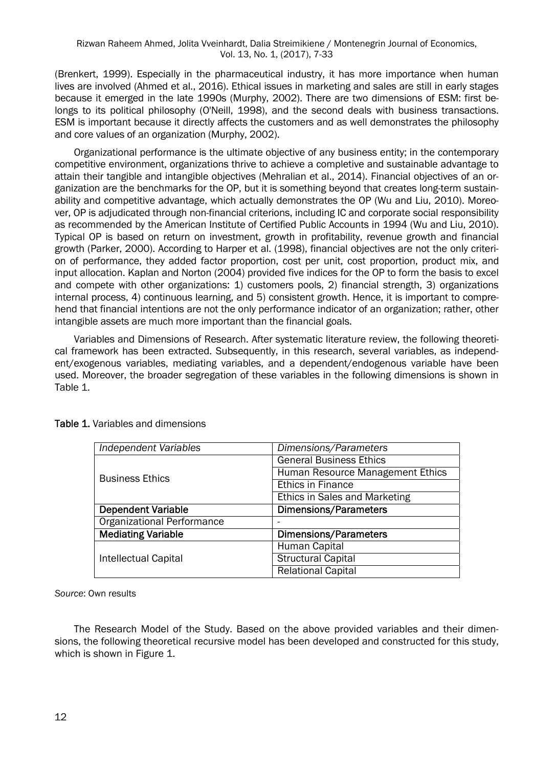#### Rizwan Raheem Ahmed, Jolita Vveinhardt, Dalia Streimikiene / Montenegrin Journal of Economics, Vol. 13, No. 1, (2017), 7-33

(Brenkert, 1999). Especially in the pharmaceutical industry, it has more importance when human lives are involved (Ahmed et al., 2016). Ethical issues in marketing and sales are still in early stages because it emerged in the late 1990s (Murphy, 2002). There are two dimensions of ESM: first belongs to its political philosophy (O'Neill, 1998), and the second deals with business transactions. ESM is important because it directly affects the customers and as well demonstrates the philosophy and core values of an organization (Murphy, 2002).

Organizational performance is the ultimate objective of any business entity; in the contemporary competitive environment, organizations thrive to achieve a completive and sustainable advantage to attain their tangible and intangible objectives (Mehralian et al., 2014). Financial objectives of an organization are the benchmarks for the OP, but it is something beyond that creates long-term sustainability and competitive advantage, which actually demonstrates the OP (Wu and Liu, 2010). Moreover, OP is adjudicated through non-financial criterions, including IC and corporate social responsibility as recommended by the American Institute of Certified Public Accounts in 1994 (Wu and Liu, 2010). Typical OP is based on return on investment, growth in profitability, revenue growth and financial growth (Parker, 2000). According to Harper et al. (1998), financial objectives are not the only criterion of performance, they added factor proportion, cost per unit, cost proportion, product mix, and input allocation. Kaplan and Norton (2004) provided five indices for the OP to form the basis to excel and compete with other organizations: 1) customers pools, 2) financial strength, 3) organizations internal process, 4) continuous learning, and 5) consistent growth. Hence, it is important to comprehend that financial intentions are not the only performance indicator of an organization; rather, other intangible assets are much more important than the financial goals.

Variables and Dimensions of Research. After systematic literature review, the following theoretical framework has been extracted. Subsequently, in this research, several variables, as independent/exogenous variables, mediating variables, and a dependent/endogenous variable have been used. Moreover, the broader segregation of these variables in the following dimensions is shown in Table 1.

| Independent Variables             | Dimensions/Parameters            |  |  |  |
|-----------------------------------|----------------------------------|--|--|--|
|                                   | <b>General Business Ethics</b>   |  |  |  |
| <b>Business Ethics</b>            | Human Resource Management Ethics |  |  |  |
|                                   | <b>Ethics in Finance</b>         |  |  |  |
|                                   | Ethics in Sales and Marketing    |  |  |  |
| <b>Dependent Variable</b>         | Dimensions/Parameters            |  |  |  |
| <b>Organizational Performance</b> |                                  |  |  |  |
| <b>Mediating Variable</b>         | <b>Dimensions/Parameters</b>     |  |  |  |
|                                   | Human Capital                    |  |  |  |
| Intellectual Capital              | <b>Structural Capital</b>        |  |  |  |
|                                   | <b>Relational Capital</b>        |  |  |  |

Table 1. Variables and dimensions

*Source*: Own results

The Research Model of the Study. Based on the above provided variables and their dimensions, the following theoretical recursive model has been developed and constructed for this study, which is shown in Figure 1.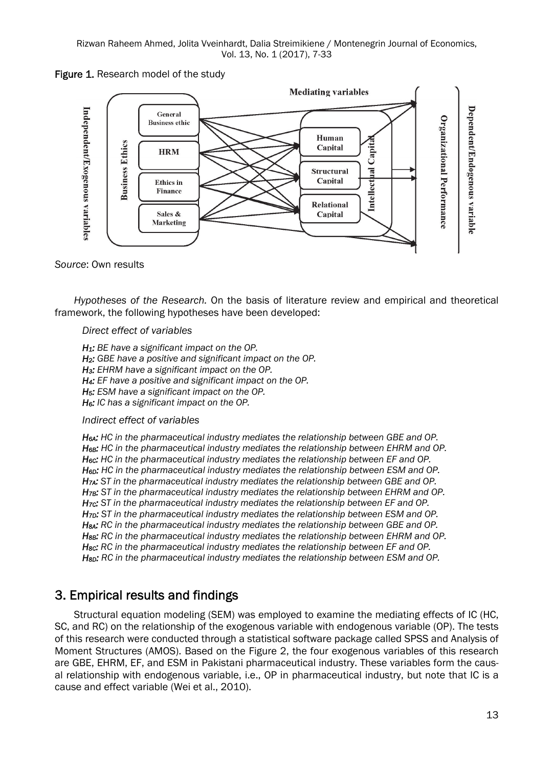Rizwan Raheem Ahmed, Jolita Vveinhardt, Dalia Streimikiene / Montenegrin Journal of Economics, Vol. 13, No. 1 (2017), 7-33

Figure 1. Research model of the study



#### *Source*: Own results

*Hypotheses of the Research.* On the basis of literature review and empirical and theoretical framework, the following hypotheses have been developed:

#### *Direct effect of variables*

*H1: BE have a significant impact on the OP. H2: GBE have a positive and significant impact on the OP. H3: EHRM have a significant impact on the OP. H4: EF have a positive and significant impact on the OP. H5: ESM have a significant impact on the OP. H6: IC has a significant impact on the OP.* 

#### *Indirect effect of variables*

*H6A: HC in the pharmaceutical industry mediates the relationship between GBE and OP. H6B: HC in the pharmaceutical industry mediates the relationship between EHRM and OP. H6C: HC in the pharmaceutical industry mediates the relationship between EF and OP. H6D: HC in the pharmaceutical industry mediates the relationship between ESM and OP. H7A: ST in the pharmaceutical industry mediates the relationship between GBE and OP. H7B: ST in the pharmaceutical industry mediates the relationship between EHRM and OP. H7C: ST in the pharmaceutical industry mediates the relationship between EF and OP. H7D: ST in the pharmaceutical industry mediates the relationship between ESM and OP. H8A: RC in the pharmaceutical industry mediates the relationship between GBE and OP. H8B: RC in the pharmaceutical industry mediates the relationship between EHRM and OP. H8C: RC in the pharmaceutical industry mediates the relationship between EF and OP. H8D: RC in the pharmaceutical industry mediates the relationship between ESM and OP.* 

## 3. Empirical results and findings

Structural equation modeling (SEM) was employed to examine the mediating effects of IC (HC, SC, and RC) on the relationship of the exogenous variable with endogenous variable (OP). The tests of this research were conducted through a statistical software package called SPSS and Analysis of Moment Structures (AMOS). Based on the Figure 2, the four exogenous variables of this research are GBE, EHRM, EF, and ESM in Pakistani pharmaceutical industry. These variables form the causal relationship with endogenous variable, i.e., OP in pharmaceutical industry, but note that IC is a cause and effect variable (Wei et al., 2010).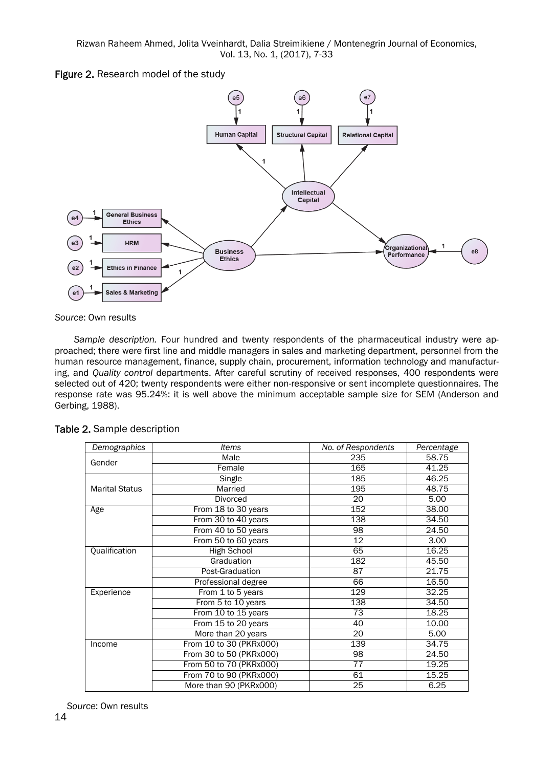Rizwan Raheem Ahmed, Jolita Vveinhardt, Dalia Streimikiene / Montenegrin Journal of Economics, Vol. 13, No. 1, (2017), 7-33

Figure 2. Research model of the study



*Source*: Own results

*Sample description.* Four hundred and twenty respondents of the pharmaceutical industry were approached; there were first line and middle managers in sales and marketing department, personnel from the human resource management, finance, supply chain, procurement, information technology and manufacturing, and *Quality control* departments. After careful scrutiny of received responses, 400 respondents were selected out of 420; twenty respondents were either non-responsive or sent incomplete questionnaires. The response rate was 95.24%: it is well above the minimum acceptable sample size for SEM (Anderson and Gerbing, 1988).

| Demographics          | <b>Items</b>            | No. of Respondents | Percentage |
|-----------------------|-------------------------|--------------------|------------|
| Gender                | Male                    | 235                | 58.75      |
|                       | Female                  | 165                | 41.25      |
|                       | Single                  | 185                | 46.25      |
| <b>Marital Status</b> | Married                 | 195                | 48.75      |
|                       | <b>Divorced</b>         | 20                 | 5.00       |
| Age                   | From 18 to 30 years     | 152                | 38.00      |
|                       | From 30 to 40 years     | 138                | 34.50      |
|                       | From 40 to 50 years     | 98                 | 24.50      |
|                       | From 50 to 60 years     | 12                 | 3.00       |
| Qualification         | High School             | 65                 | 16.25      |
|                       | Graduation              | 182                | 45.50      |
|                       | Post-Graduation         | $\overline{87}$    | 21.75      |
|                       | Professional degree     | 66                 | 16.50      |
| Experience            | From 1 to 5 years       | 129                | 32.25      |
|                       | From 5 to 10 years      | 138                | 34.50      |
|                       | From 10 to 15 years     | 73                 | 18.25      |
|                       | From 15 to 20 years     | 40                 | 10.00      |
|                       | More than 20 years      | 20                 | 5.00       |
| Income                | From 10 to 30 (PKRx000) | 139                | 34.75      |
|                       | From 30 to 50 (PKRx000) | 98                 | 24.50      |
|                       | From 50 to 70 (PKRx000) | 77                 | 19.25      |
|                       | From 70 to 90 (PKRx000) | 61                 | 15.25      |
|                       | More than 90 (PKRx000)  | 25                 | 6.25       |

Table 2. Sample description

*Source*: Own results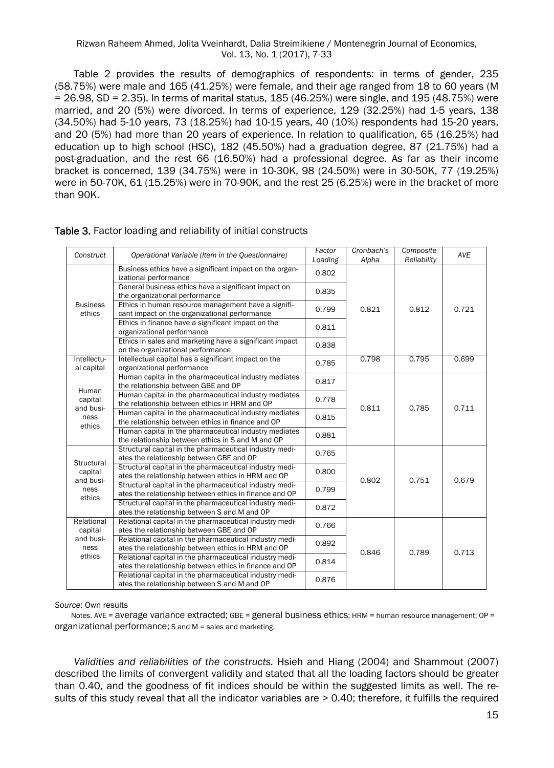#### Rizwan Raheem Ahmed, Jolita Vveinhardt, Dalia Streimikiene / Montenegrin Journal of Economics, Vol. 13, No. 1 (2017), 7-33

Table 2 provides the results of demographics of respondents: in terms of gender, 235 (58.75%) were male and 165 (41.25%) were female, and their age ranged from 18 to 60 years (M = 26.98, SD = 2.35). In terms of marital status, 185 (46.25%) were single, and 195 (48.75%) were married, and 20 (5%) were divorced. In terms of experience, 129 (32.25%) had 1-5 years, 138 (34.50%) had 5-10 years, 73 (18.25%) had 10-15 years, 40 (10%) respondents had 15-20 years, and 20 (5%) had more than 20 years of experience. In relation to qualification, 65 (16.25%) had education up to high school (HSC), 182 (45.50%) had a graduation degree, 87 (21.75%) had a post-graduation, and the rest 66 (16.50%) had a professional degree. As far as their income bracket is concerned, 139 (34.75%) were in 10-30K, 98 (24.50%) were in 30-50K, 77 (19.25%) were in 50-70K, 61 (15.25%) were in 70-90K, and the rest 25 (6.25%) were in the bracket of more than 90K.

| Construct                     | Operational Variable (Item in the Questionnaire)                                                                  | Factor<br>Loading | Cronbach's<br>Alpha | Composite<br>Reliability | AVE   |
|-------------------------------|-------------------------------------------------------------------------------------------------------------------|-------------------|---------------------|--------------------------|-------|
|                               | Business ethics have a significant impact on the organ-<br>izational performance                                  | 0.802             |                     |                          |       |
|                               | General business ethics have a significant impact on<br>the organizational performance                            | 0.835             |                     |                          |       |
| <b>Business</b><br>ethics     | Ethics in human resource management have a signifi-<br>cant impact on the organizational performance              | 0.799             | 0.821               | 0.812                    | 0.721 |
|                               | Ethics in finance have a significant impact on the<br>organizational performance                                  |                   |                     |                          |       |
|                               | Ethics in sales and marketing have a significant impact<br>on the organizational performance                      | 0.838             |                     |                          |       |
| Intellectu-<br>al capital     | Intellectual capital has a significant impact on the<br>organizational performance                                | 0.785             | 0.798               | 0.795                    | 0.699 |
| Human<br>capital<br>and busi- | Human capital in the pharmaceutical industry mediates<br>the relationship between GBE and OP                      | 0.817             |                     | 0.785                    | 0.711 |
|                               | Human capital in the pharmaceutical industry mediates<br>the relationship between ethics in HRM and OP            | 0.778             | 0.811               |                          |       |
| ness<br>ethics                | Human capital in the pharmaceutical industry mediates<br>the relationship between ethics in finance and OP        | 0.815             |                     |                          |       |
|                               | Human capital in the pharmaceutical industry mediates<br>the relationship between ethics in S and M and OP        | 0.881             |                     |                          |       |
| Structural                    | Structural capital in the pharmaceutical industry medi-<br>ates the relationship between GBE and OP               | 0.765             |                     |                          |       |
| capital<br>and busi-          | Structural capital in the pharmaceutical industry medi-<br>ates the relationship between ethics in HRM and OP     | 0.800             | 0.802               | 0.751                    |       |
| ness<br>ethics                | Structural capital in the pharmaceutical industry medi-<br>ates the relationship between ethics in finance and OP | 0.799             |                     |                          | 0.679 |
|                               | Structural capital in the pharmaceutical industry medi-<br>ates the relationship between S and M and OP           | 0.872             |                     |                          |       |
| Relational<br>capital         | Relational capital in the pharmaceutical industry medi-<br>ates the relationship between GBE and OP               | 0.766             |                     |                          |       |
| and busi-<br>ness             | Relational capital in the pharmaceutical industry medi-<br>ates the relationship between ethics in HRM and OP     | 0.892             |                     |                          |       |
| ethics                        | Relational capital in the pharmaceutical industry medi-<br>ates the relationship between ethics in finance and OP | 0.814             | 0.846               | 0.789                    | 0.713 |
|                               | Relational capital in the pharmaceutical industry medi-<br>ates the relationship between S and M and OP           | 0.876             |                     |                          |       |

#### Table 3. Factor loading and reliability of initial constructs

#### *Source*: Own results

Notes. AVE = average variance extracted; GBE = general business ethics; HRM = human resource management; OP = organizational performance; S and M = sales and marketing.

*Validities and reliabilities of the constructs.* Hsieh and Hiang (2004) and Shammout (2007) described the limits of convergent validity and stated that all the loading factors should be greater than 0.40, and the goodness of fit indices should be within the suggested limits as well. The results of this study reveal that all the indicator variables are > 0.40; therefore, it fulfills the required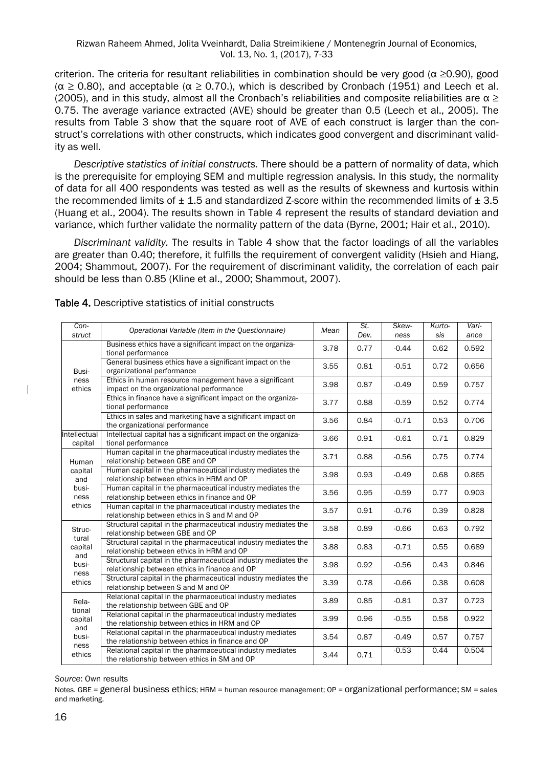criterion. The criteria for resultant reliabilities in combination should be very good ( $\alpha \ge 0.90$ ), good  $(\alpha \ge 0.80)$ , and acceptable  $(\alpha \ge 0.70)$ , which is described by Cronbach (1951) and Leech et al. (2005), and in this study, almost all the Cronbach's reliabilities and composite reliabilities are  $\alpha \geq 1$ 0.75. The average variance extracted (AVE) should be greater than 0.5 (Leech et al., 2005). The results from Table 3 show that the square root of AVE of each construct is larger than the construct's correlations with other constructs, which indicates good convergent and discriminant validity as well.

*Descriptive statistics of initial constructs.* There should be a pattern of normality of data, which is the prerequisite for employing SEM and multiple regression analysis. In this study, the normality of data for all 400 respondents was tested as well as the results of skewness and kurtosis within the recommended limits of  $\pm$  1.5 and standardized Z-score within the recommended limits of  $\pm$  3.5 (Huang et al., 2004). The results shown in Table 4 represent the results of standard deviation and variance, which further validate the normality pattern of the data (Byrne, 2001; Hair et al., 2010).

*Discriminant validity.* The results in Table 4 show that the factor loadings of all the variables are greater than 0.40; therefore, it fulfills the requirement of convergent validity (Hsieh and Hiang, 2004; Shammout, 2007). For the requirement of discriminant validity, the correlation of each pair should be less than 0.85 (Kline et al., 2000; Shammout, 2007).

| Con-<br>struct          | Operational Variable (Item in the Questionnaire)                                                                | Mean | St.<br>Dev. | Skew-<br>ness | Kurto-<br>sis | Vari-<br>ance |
|-------------------------|-----------------------------------------------------------------------------------------------------------------|------|-------------|---------------|---------------|---------------|
|                         | Business ethics have a significant impact on the organiza-<br>tional performance                                | 3.78 | 0.77        | $-0.44$       | 0.62          | 0.592         |
| Busi-                   | General business ethics have a significant impact on the<br>organizational performance                          | 3.55 | 0.81        | $-0.51$       | 0.72          | 0.656         |
| ness<br>ethics          | Ethics in human resource management have a significant<br>impact on the organizational performance              | 3.98 | 0.87        | $-0.49$       | 0.59          | 0.757         |
|                         | Ethics in finance have a significant impact on the organiza-<br>tional performance                              | 3.77 | 0.88        | $-0.59$       | 0.52          | 0.774         |
|                         | Ethics in sales and marketing have a significant impact on<br>the organizational performance                    | 3.56 | 0.84        | $-0.71$       | 0.53          | 0.706         |
| Intellectual<br>capital | Intellectual capital has a significant impact on the organiza-<br>tional performance                            | 3.66 | 0.91        | $-0.61$       | 0.71          | 0.829         |
| Human                   | Human capital in the pharmaceutical industry mediates the<br>relationship between GBE and OP                    | 3.71 | 0.88        | $-0.56$       | 0.75          | 0.774         |
| capital<br>and          | Human capital in the pharmaceutical industry mediates the<br>relationship between ethics in HRM and OP          | 3.98 | 0.93        | $-0.49$       | 0.68          | 0.865         |
| busi-<br>ness           | Human capital in the pharmaceutical industry mediates the<br>relationship between ethics in finance and OP      | 3.56 | 0.95        | $-0.59$       | 0.77          | 0.903         |
| ethics                  | Human capital in the pharmaceutical industry mediates the<br>relationship between ethics in S and M and OP      | 3.57 | 0.91        | $-0.76$       | 0.39          | 0.828         |
| Struc-<br>tural         | Structural capital in the pharmaceutical industry mediates the<br>relationship between GBE and OP               | 3.58 | 0.89        | $-0.66$       | 0.63          | 0.792         |
| capital<br>and          | Structural capital in the pharmaceutical industry mediates the<br>relationship between ethics in HRM and OP     | 3.88 | 0.83        | $-0.71$       | 0.55          | 0.689         |
| busi-<br>ness           | Structural capital in the pharmaceutical industry mediates the<br>relationship between ethics in finance and OP | 3.98 | 0.92        | $-0.56$       | 0.43          | 0.846         |
| ethics                  | Structural capital in the pharmaceutical industry mediates the<br>relationship between S and M and OP           | 3.39 | 0.78        | $-0.66$       | 0.38          | 0.608         |
| Rela-<br>tional         | Relational capital in the pharmaceutical industry mediates<br>the relationship between GBE and OP               | 3.89 | 0.85        | $-0.81$       | 0.37          | 0.723         |
| capital<br>and          | Relational capital in the pharmaceutical industry mediates<br>the relationship between ethics in HRM and OP     | 3.99 | 0.96        | $-0.55$       | 0.58          | 0.922         |
| busi-<br>ness           | Relational capital in the pharmaceutical industry mediates<br>the relationship between ethics in finance and OP | 3.54 | 0.87        | $-0.49$       | 0.57          | 0.757         |
| ethics                  | Relational capital in the pharmaceutical industry mediates<br>the relationship between ethics in SM and OP      | 3.44 | 0.71        | $-0.53$       | 0.44          | 0.504         |

Table 4. Descriptive statistics of initial constructs

#### *Source*: Own results

Notes. GBE = general business ethics; HRM = human resource management; OP = organizational performance; SM = sales and marketing.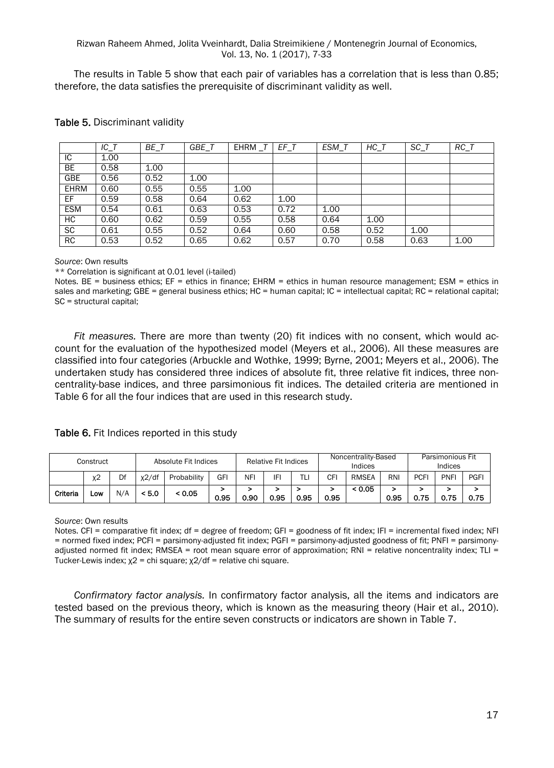#### Rizwan Raheem Ahmed, Jolita Vveinhardt, Dalia Streimikiene / Montenegrin Journal of Economics, Vol. 13, No. 1 (2017), 7-33

The results in Table 5 show that each pair of variables has a correlation that is less than 0.85; therefore, the data satisfies the prerequisite of discriminant validity as well.

|             | $\overline{IC}$ _T | $BE$ <sub>T</sub> | GBE T | EHRM | EF T | ESM T | $\overline{HC}$ <sub>T</sub> | $\overline{SC}$ <sub>T</sub> | $\overline{RC\_T}$ |
|-------------|--------------------|-------------------|-------|------|------|-------|------------------------------|------------------------------|--------------------|
| IС          | 1.00               |                   |       |      |      |       |                              |                              |                    |
| BE          | 0.58               | 1.00              |       |      |      |       |                              |                              |                    |
| <b>GBE</b>  | 0.56               | 0.52              | 1.00  |      |      |       |                              |                              |                    |
| <b>EHRM</b> | 0.60               | 0.55              | 0.55  | 1.00 |      |       |                              |                              |                    |
| EF.         | 0.59               | 0.58              | 0.64  | 0.62 | 1.00 |       |                              |                              |                    |
| <b>ESM</b>  | 0.54               | 0.61              | 0.63  | 0.53 | 0.72 | 1.00  |                              |                              |                    |
| HC          | 0.60               | 0.62              | 0.59  | 0.55 | 0.58 | 0.64  | 1.00                         |                              |                    |
| <b>SC</b>   | 0.61               | 0.55              | 0.52  | 0.64 | 0.60 | 0.58  | 0.52                         | 1.00                         |                    |
| RC          | 0.53               | 0.52              | 0.65  | 0.62 | 0.57 | 0.70  | 0.58                         | 0.63                         | 1.00               |

#### Table 5. Discriminant validity

#### *Source*: Own results

\*\* Correlation is significant at 0.01 level (i-tailed)

Notes. BE = business ethics; EF = ethics in finance; EHRM = ethics in human resource management; ESM = ethics in sales and marketing; GBE = general business ethics; HC = human capital; IC = intellectual capital; RC = relational capital; SC = structural capital;

*Fit measures.* There are more than twenty (20) fit indices with no consent, which would account for the evaluation of the hypothesized model (Meyers et al., 2006). All these measures are classified into four categories (Arbuckle and Wothke, 1999; Byrne, 2001; Meyers et al., 2006). The undertaken study has considered three indices of absolute fit, three relative fit indices, three noncentrality-base indices, and three parsimonious fit indices. The detailed criteria are mentioned in Table 6 for all the four indices that are used in this research study.

Table 6. Fit Indices reported in this study

| Construct |       | Absolute Fit Indices |          | <b>Relative Fit Indices</b> |      | Noncentrality-Based<br>Indices |      | Parsimonious Fit<br>Indices |      |              |      |            |             |      |
|-----------|-------|----------------------|----------|-----------------------------|------|--------------------------------|------|-----------------------------|------|--------------|------|------------|-------------|------|
|           | $x^2$ | Df                   | $x^2$ df | Probability                 | GFI  | NFI                            | IFI  | TLi                         | СF   | <b>RMSEA</b> | RNI  | <b>PCF</b> | <b>PNFI</b> | PGFI |
| Criteria  | LOW   | N/A                  | < 5.0    | < 0.05                      | 0.95 | 0.90                           | 0.95 | 0.95                        | 0.95 | < 0.05       | 0.95 | 0.75       | 0.75        | 0.75 |

#### *Source*: Own results

Notes. CFI = comparative fit index; df = degree of freedom; GFI = goodness of fit index; IFI = incremental fixed index; NFI = normed fixed index; PCFI = parsimony-adjusted fit index; PGFI = parsimony-adjusted goodness of fit; PNFI = parsimonyadjusted normed fit index; RMSEA = root mean square error of approximation; RNI = relative noncentrality index; TLI = Tucker-Lewis index;  $χ2 =$  chi square;  $χ2/df =$  relative chi square.

*Confirmatory factor analysis.* In confirmatory factor analysis, all the items and indicators are tested based on the previous theory, which is known as the measuring theory (Hair et al., 2010). The summary of results for the entire seven constructs or indicators are shown in Table 7.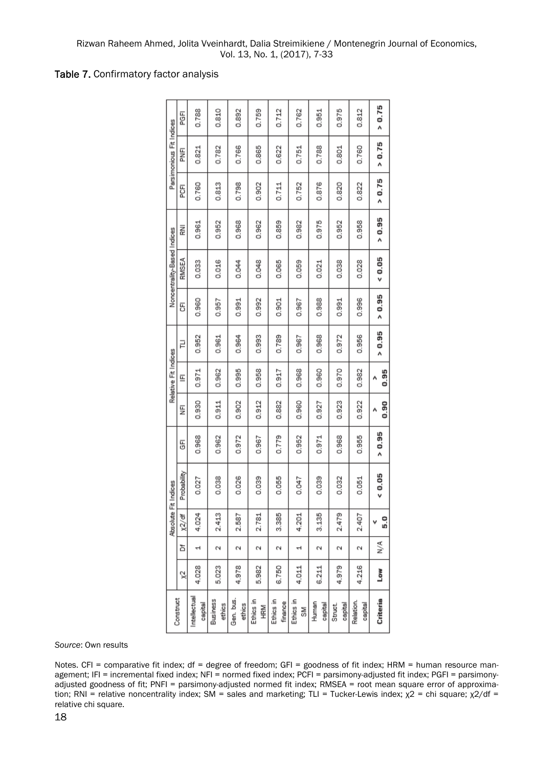### Table 7. Confirmatory factor analysis

| > 0.75<br>0.975<br>0.788<br>0.810<br>0.892<br>0.759<br>0.712<br>0.812<br>0.762<br>0.951<br>医<br>Parsimonious Fit Indices<br>> 0.75<br>0.766<br>0.865<br>0.622<br>0.788<br>0.821<br>0.782<br>0.801<br>0.760<br>0.751<br>FNFI<br>> 0.75<br>0.876<br>0.798<br>0.760<br>0.813<br>0.902<br>0.752<br>0.820<br>0.711<br>0.822<br>FCFI<br>> 0.95<br>0.859<br>0.975<br>0.968<br>0.952<br>0.958<br>0.952<br>0.962<br>0.961<br>0.982<br>롩<br>Noncentrality-Based Indices<br>0.05<br>RMSEA<br>0.016<br>0.048<br>0.033<br>0.044<br>0.065<br>0.059<br>0.038<br>0.028<br>0.021<br>> 0.95<br>0.901<br>0.988<br>0.996<br>0.960<br>0.991<br>0.992<br>0.967<br>0.991<br>0.957<br>5<br>> 0.95<br>0.956<br>0.952<br>0.964<br>0.993<br>0.789<br>0.968<br>0.972<br>0.961<br>0.967<br>긑<br>Relative Fit Indices<br>0.995<br>0.970<br>0.958<br>0.917<br>0.968<br>0.960<br>0.971<br>0.962<br>0.982<br>E<br>0.902<br>0.912<br>0.882<br>0.923<br>0.930<br>0.911<br>0.960<br>0.922<br>0.927<br>₹<br>> 0.95<br>0.779<br>0.968<br>0.952<br>0.968<br>0.955<br>0.962<br>0.972<br>0.967<br>0.971<br>5<br>Probability<br>0.05<br>0.026<br>0.038<br>0.039<br>0.055<br>0.039<br>0.027<br>0.047<br>0.032<br>0.051<br>Absolute Fit Indices<br>2.413<br>3.385<br>3.135<br>2.479<br>4.024<br>2.587<br>2.781<br>4.201<br>2.407<br>x2/df<br>≶<br>ă<br>N<br>Ñ<br>Ñ<br>Ν<br>Ñ<br>Μ<br>Ñ<br>$\mathbf{\mathbf{d}}$<br>ᅱ<br>4.028<br>4.978<br>6.750<br>4.979<br>4.216<br>5.023<br>5.982<br>4.011<br>6.211<br>Low<br>ă<br>Intellectual<br>Construct<br>Criteria<br>Gen. bus.<br>Business<br>Ethics in<br>Ethics in<br>Ethics in<br>Relation.<br>finance<br>Human<br>capital<br>capital<br>ethics<br>ethics<br>capital<br>capital<br>Struct.<br>HRM<br>≧<br>S |  |  |  |  |  |      |
|-------------------------------------------------------------------------------------------------------------------------------------------------------------------------------------------------------------------------------------------------------------------------------------------------------------------------------------------------------------------------------------------------------------------------------------------------------------------------------------------------------------------------------------------------------------------------------------------------------------------------------------------------------------------------------------------------------------------------------------------------------------------------------------------------------------------------------------------------------------------------------------------------------------------------------------------------------------------------------------------------------------------------------------------------------------------------------------------------------------------------------------------------------------------------------------------------------------------------------------------------------------------------------------------------------------------------------------------------------------------------------------------------------------------------------------------------------------------------------------------------------------------------------------------------------------------------------------------------------------------------------------------------------------------------------------------------------------|--|--|--|--|--|------|
|                                                                                                                                                                                                                                                                                                                                                                                                                                                                                                                                                                                                                                                                                                                                                                                                                                                                                                                                                                                                                                                                                                                                                                                                                                                                                                                                                                                                                                                                                                                                                                                                                                                                                                             |  |  |  |  |  |      |
|                                                                                                                                                                                                                                                                                                                                                                                                                                                                                                                                                                                                                                                                                                                                                                                                                                                                                                                                                                                                                                                                                                                                                                                                                                                                                                                                                                                                                                                                                                                                                                                                                                                                                                             |  |  |  |  |  |      |
|                                                                                                                                                                                                                                                                                                                                                                                                                                                                                                                                                                                                                                                                                                                                                                                                                                                                                                                                                                                                                                                                                                                                                                                                                                                                                                                                                                                                                                                                                                                                                                                                                                                                                                             |  |  |  |  |  |      |
|                                                                                                                                                                                                                                                                                                                                                                                                                                                                                                                                                                                                                                                                                                                                                                                                                                                                                                                                                                                                                                                                                                                                                                                                                                                                                                                                                                                                                                                                                                                                                                                                                                                                                                             |  |  |  |  |  |      |
|                                                                                                                                                                                                                                                                                                                                                                                                                                                                                                                                                                                                                                                                                                                                                                                                                                                                                                                                                                                                                                                                                                                                                                                                                                                                                                                                                                                                                                                                                                                                                                                                                                                                                                             |  |  |  |  |  |      |
|                                                                                                                                                                                                                                                                                                                                                                                                                                                                                                                                                                                                                                                                                                                                                                                                                                                                                                                                                                                                                                                                                                                                                                                                                                                                                                                                                                                                                                                                                                                                                                                                                                                                                                             |  |  |  |  |  |      |
|                                                                                                                                                                                                                                                                                                                                                                                                                                                                                                                                                                                                                                                                                                                                                                                                                                                                                                                                                                                                                                                                                                                                                                                                                                                                                                                                                                                                                                                                                                                                                                                                                                                                                                             |  |  |  |  |  |      |
|                                                                                                                                                                                                                                                                                                                                                                                                                                                                                                                                                                                                                                                                                                                                                                                                                                                                                                                                                                                                                                                                                                                                                                                                                                                                                                                                                                                                                                                                                                                                                                                                                                                                                                             |  |  |  |  |  | 0.95 |
|                                                                                                                                                                                                                                                                                                                                                                                                                                                                                                                                                                                                                                                                                                                                                                                                                                                                                                                                                                                                                                                                                                                                                                                                                                                                                                                                                                                                                                                                                                                                                                                                                                                                                                             |  |  |  |  |  | 0.90 |
|                                                                                                                                                                                                                                                                                                                                                                                                                                                                                                                                                                                                                                                                                                                                                                                                                                                                                                                                                                                                                                                                                                                                                                                                                                                                                                                                                                                                                                                                                                                                                                                                                                                                                                             |  |  |  |  |  |      |
|                                                                                                                                                                                                                                                                                                                                                                                                                                                                                                                                                                                                                                                                                                                                                                                                                                                                                                                                                                                                                                                                                                                                                                                                                                                                                                                                                                                                                                                                                                                                                                                                                                                                                                             |  |  |  |  |  |      |
|                                                                                                                                                                                                                                                                                                                                                                                                                                                                                                                                                                                                                                                                                                                                                                                                                                                                                                                                                                                                                                                                                                                                                                                                                                                                                                                                                                                                                                                                                                                                                                                                                                                                                                             |  |  |  |  |  | 5.0  |
|                                                                                                                                                                                                                                                                                                                                                                                                                                                                                                                                                                                                                                                                                                                                                                                                                                                                                                                                                                                                                                                                                                                                                                                                                                                                                                                                                                                                                                                                                                                                                                                                                                                                                                             |  |  |  |  |  |      |
|                                                                                                                                                                                                                                                                                                                                                                                                                                                                                                                                                                                                                                                                                                                                                                                                                                                                                                                                                                                                                                                                                                                                                                                                                                                                                                                                                                                                                                                                                                                                                                                                                                                                                                             |  |  |  |  |  |      |
|                                                                                                                                                                                                                                                                                                                                                                                                                                                                                                                                                                                                                                                                                                                                                                                                                                                                                                                                                                                                                                                                                                                                                                                                                                                                                                                                                                                                                                                                                                                                                                                                                                                                                                             |  |  |  |  |  |      |

*Source*: Own results

Notes. CFI = comparative fit index; df = degree of freedom; GFI = goodness of fit index; HRM = human resource management; IFI = incremental fixed index; NFI = normed fixed index; PCFI = parsimony-adjusted fit index; PGFI = parsimonyadjusted goodness of fit; PNFI = parsimony-adjusted normed fit index; RMSEA = root mean square error of approximation; RNI = relative noncentrality index; SM = sales and marketing; TLI = Tucker-Lewis index;  $χ2 =$  chi square;  $χ2/df =$ relative chi square.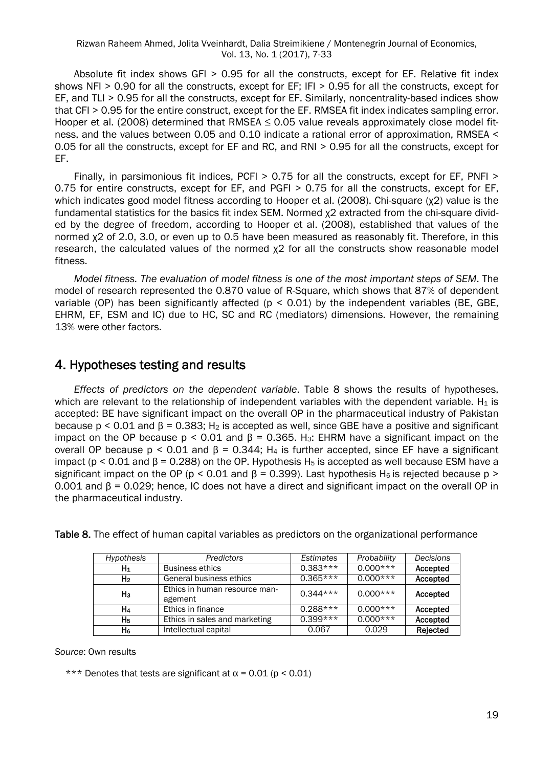Absolute fit index shows GFI > 0.95 for all the constructs, except for EF. Relative fit index shows NFI > 0.90 for all the constructs, except for EF; IFI > 0.95 for all the constructs, except for EF, and TLI > 0.95 for all the constructs, except for EF. Similarly, noncentrality-based indices show that CFI > 0.95 for the entire construct, except for the EF. RMSEA fit index indicates sampling error. Hooper et al. (2008) determined that RMSEA  $\leq$  0.05 value reveals approximately close model fitness, and the values between 0.05 and 0.10 indicate a rational error of approximation, RMSEA < 0.05 for all the constructs, except for EF and RC, and RNI > 0.95 for all the constructs, except for EF.

Finally, in parsimonious fit indices, PCFI > 0.75 for all the constructs, except for EF, PNFI > 0.75 for entire constructs, except for EF, and PGFI > 0.75 for all the constructs, except for EF, which indicates good model fitness according to Hooper et al. (2008). Chi-square (χ2) value is the fundamental statistics for the basics fit index SEM. Normed χ2 extracted from the chi-square divided by the degree of freedom, according to Hooper et al. (2008), established that values of the normed χ2 of 2.0, 3.0, or even up to 0.5 have been measured as reasonably fit. Therefore, in this research, the calculated values of the normed χ2 for all the constructs show reasonable model fitness.

*Model fitness. The evaluation of model fitness is one of the most important steps of SEM*. The model of research represented the 0.870 value of R-Square, which shows that 87% of dependent variable (OP) has been significantly affected ( $p < 0.01$ ) by the independent variables (BE, GBE, EHRM, EF, ESM and IC) due to HC, SC and RC (mediators) dimensions. However, the remaining 13% were other factors.

## 4. Hypotheses testing and results

*Effects of predictors on the dependent variable*. Table 8 shows the results of hypotheses, which are relevant to the relationship of independent variables with the dependent variable.  $H_1$  is accepted: BE have significant impact on the overall OP in the pharmaceutical industry of Pakistan because  $p < 0.01$  and  $\beta = 0.383$ ; H<sub>2</sub> is accepted as well, since GBE have a positive and significant impact on the OP because  $p \le 0.01$  and  $B = 0.365$ . H<sub>3</sub>: EHRM have a significant impact on the overall OP because  $p \le 0.01$  and  $\beta = 0.344$ ; H<sub>4</sub> is further accepted, since EF have a significant impact (p < 0.01 and  $\beta$  = 0.288) on the OP. Hypothesis H<sub>5</sub> is accepted as well because ESM have a significant impact on the OP (p < 0.01 and  $\beta$  = 0.399). Last hypothesis H<sub>6</sub> is rejected because p > 0.001 and β = 0.029; hence, IC does not have a direct and significant impact on the overall OP in the pharmaceutical industry.

| Hypothesis     | Predictors                               | Estimates  | Probability | <b>Decisions</b> |
|----------------|------------------------------------------|------------|-------------|------------------|
| $H_1$          | <b>Business ethics</b>                   | $0.383***$ | $0.000***$  | Accepted         |
| H <sub>2</sub> | General business ethics                  | $0.365***$ | $0.000***$  | Accepted         |
| H <sub>3</sub> | Ethics in human resource man-<br>agement | $0.344***$ | $0.000***$  | Accepted         |
| H4             | Ethics in finance                        | $0.288***$ | $0.000***$  | Accepted         |
| Hь             | Ethics in sales and marketing            | $0.399***$ | $0.000***$  | Accepted         |
| H6             | Intellectual capital                     | 0.067      | 0.029       | Rejected         |

Table 8. The effect of human capital variables as predictors on the organizational performance

*Source*: Own results

\*\*\* Denotes that tests are significant at  $\alpha$  = 0.01 (p < 0.01)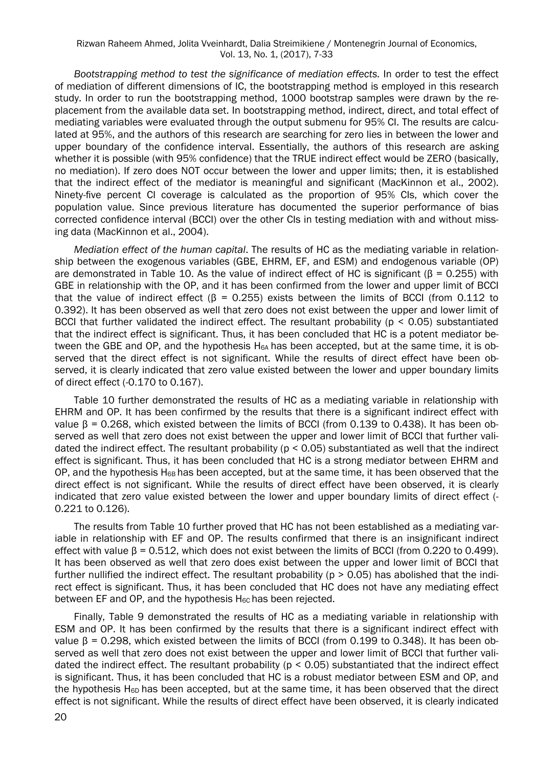*Bootstrapping method to test the significance of mediation effects.* In order to test the effect of mediation of different dimensions of IC, the bootstrapping method is employed in this research study. In order to run the bootstrapping method, 1000 bootstrap samples were drawn by the replacement from the available data set. In bootstrapping method, indirect, direct, and total effect of mediating variables were evaluated through the output submenu for 95% CI. The results are calculated at 95%, and the authors of this research are searching for zero lies in between the lower and upper boundary of the confidence interval. Essentially, the authors of this research are asking whether it is possible (with 95% confidence) that the TRUE indirect effect would be ZERO (basically, no mediation). If zero does NOT occur between the lower and upper limits; then, it is established that the indirect effect of the mediator is meaningful and significant (MacKinnon et al., 2002). Ninety-five percent CI coverage is calculated as the proportion of 95% CIs, which cover the population value. Since previous literature has documented the superior performance of bias corrected confidence interval (BCCI) over the other CIs in testing mediation with and without missing data (MacKinnon et al., 2004).

*Mediation effect of the human capital*. The results of HC as the mediating variable in relationship between the exogenous variables (GBE, EHRM, EF, and ESM) and endogenous variable (OP) are demonstrated in Table 10. As the value of indirect effect of HC is significant (β = 0.255) with GBE in relationship with the OP, and it has been confirmed from the lower and upper limit of BCCI that the value of indirect effect ( $\beta$  = 0.255) exists between the limits of BCCI (from 0.112 to 0.392). It has been observed as well that zero does not exist between the upper and lower limit of BCCI that further validated the indirect effect. The resultant probability ( $p < 0.05$ ) substantiated that the indirect effect is significant. Thus, it has been concluded that HC is a potent mediator between the GBE and OP, and the hypothesis H<sub>6A</sub> has been accepted, but at the same time, it is observed that the direct effect is not significant. While the results of direct effect have been observed, it is clearly indicated that zero value existed between the lower and upper boundary limits of direct effect (-0.170 to 0.167).

Table 10 further demonstrated the results of HC as a mediating variable in relationship with EHRM and OP. It has been confirmed by the results that there is a significant indirect effect with value β = 0.268, which existed between the limits of BCCI (from 0.139 to 0.438). It has been observed as well that zero does not exist between the upper and lower limit of BCCI that further validated the indirect effect. The resultant probability ( $p < 0.05$ ) substantiated as well that the indirect effect is significant. Thus, it has been concluded that HC is a strong mediator between EHRM and OP, and the hypothesis H $_{6B}$  has been accepted, but at the same time, it has been observed that the direct effect is not significant. While the results of direct effect have been observed, it is clearly indicated that zero value existed between the lower and upper boundary limits of direct effect (- 0.221 to 0.126).

The results from Table 10 further proved that HC has not been established as a mediating variable in relationship with EF and OP. The results confirmed that there is an insignificant indirect effect with value  $β = 0.512$ , which does not exist between the limits of BCCI (from 0.220 to 0.499). It has been observed as well that zero does exist between the upper and lower limit of BCCI that further nullified the indirect effect. The resultant probability ( $p > 0.05$ ) has abolished that the indirect effect is significant. Thus, it has been concluded that HC does not have any mediating effect between EF and OP, and the hypothesis  $H_{6C}$  has been rejected.

Finally, Table 9 demonstrated the results of HC as a mediating variable in relationship with ESM and OP. It has been confirmed by the results that there is a significant indirect effect with value  $β = 0.298$ , which existed between the limits of BCCI (from 0.199 to 0.348). It has been observed as well that zero does not exist between the upper and lower limit of BCCI that further validated the indirect effect. The resultant probability ( $p < 0.05$ ) substantiated that the indirect effect is significant. Thus, it has been concluded that HC is a robust mediator between ESM and OP, and the hypothesis H<sub>6D</sub> has been accepted, but at the same time, it has been observed that the direct effect is not significant. While the results of direct effect have been observed, it is clearly indicated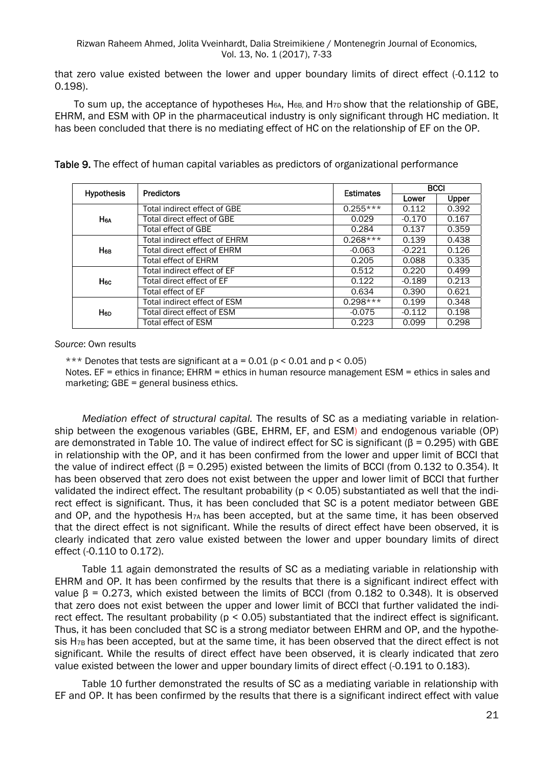that zero value existed between the lower and upper boundary limits of direct effect (-0.112 to 0.198).

To sum up, the acceptance of hypotheses H<sub>6A</sub>, H<sub>6B</sub>, and H<sub>7D</sub> show that the relationship of GBE, EHRM, and ESM with OP in the pharmaceutical industry is only significant through HC mediation. It has been concluded that there is no mediating effect of HC on the relationship of EF on the OP.

| <b>Hypothesis</b>     | <b>Predictors</b>             | <b>Estimates</b> |          | <b>BCCI</b> |  |  |
|-----------------------|-------------------------------|------------------|----------|-------------|--|--|
|                       |                               |                  | Lower    | Upper       |  |  |
|                       | Total indirect effect of GBE  | $0.255***$       | 0.112    | 0.392       |  |  |
| <b>H<sub>6A</sub></b> | Total direct effect of GBE    | 0.029            | $-0.170$ | 0.167       |  |  |
|                       | Total effect of GBE           | 0.284            | 0.137    | 0.359       |  |  |
|                       | Total indirect effect of EHRM | $0.268***$       | 0.139    | 0.438       |  |  |
| Нев                   | Total direct effect of EHRM   | $-0.063$         | $-0.221$ | 0.126       |  |  |
|                       | <b>Total effect of EHRM</b>   | 0.205            | 0.088    | 0.335       |  |  |
|                       | Total indirect effect of EF   | 0.512            | 0.220    | 0.499       |  |  |
| H <sub>6C</sub>       | Total direct effect of EF     | 0.122            | $-0.189$ | 0.213       |  |  |
|                       | Total effect of EF            | 0.634            | 0.390    | 0.621       |  |  |
|                       | Total indirect effect of ESM  | $0.298***$       | 0.199    | 0.348       |  |  |
| H <sub>6D</sub>       | Total direct effect of ESM    | $-0.075$         | $-0.112$ | 0.198       |  |  |
|                       | Total effect of ESM           | 0.223            | 0.099    | 0.298       |  |  |

Table 9. The effect of human capital variables as predictors of organizational performance

*Source*: Own results

\*\*\* Denotes that tests are significant at  $a = 0.01$  ( $p \le 0.01$  and  $p \le 0.05$ ) Notes. EF = ethics in finance; EHRM = ethics in human resource management ESM = ethics in sales and marketing; GBE = general business ethics.

*Mediation effect of structural capital.* The results of SC as a mediating variable in relationship between the exogenous variables (GBE, EHRM, EF, and ESM) and endogenous variable (OP) are demonstrated in Table 10. The value of indirect effect for SC is significant (β = 0.295) with GBE in relationship with the OP, and it has been confirmed from the lower and upper limit of BCCI that the value of indirect effect ( $\beta$  = 0.295) existed between the limits of BCCI (from 0.132 to 0.354). It has been observed that zero does not exist between the upper and lower limit of BCCI that further validated the indirect effect. The resultant probability ( $p < 0.05$ ) substantiated as well that the indirect effect is significant. Thus, it has been concluded that SC is a potent mediator between GBE and OP, and the hypothesis H7A has been accepted, but at the same time, it has been observed that the direct effect is not significant. While the results of direct effect have been observed, it is clearly indicated that zero value existed between the lower and upper boundary limits of direct effect (-0.110 to 0.172).

Table 11 again demonstrated the results of SC as a mediating variable in relationship with EHRM and OP. It has been confirmed by the results that there is a significant indirect effect with value β = 0.273, which existed between the limits of BCCI (from 0.182 to 0.348). It is observed that zero does not exist between the upper and lower limit of BCCI that further validated the indirect effect. The resultant probability (p < 0.05) substantiated that the indirect effect is significant. Thus, it has been concluded that SC is a strong mediator between EHRM and OP, and the hypothesis H<sub>7B</sub> has been accepted, but at the same time, it has been observed that the direct effect is not significant. While the results of direct effect have been observed, it is clearly indicated that zero value existed between the lower and upper boundary limits of direct effect (-0.191 to 0.183).

Table 10 further demonstrated the results of SC as a mediating variable in relationship with EF and OP. It has been confirmed by the results that there is a significant indirect effect with value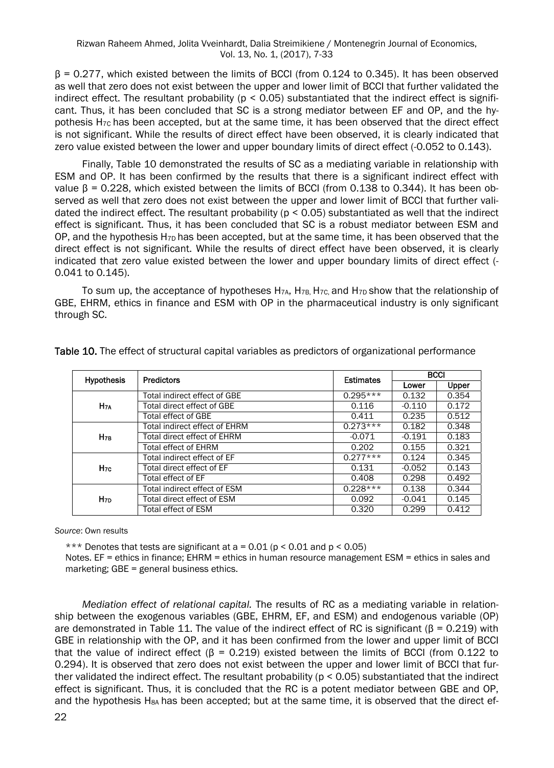β = 0.277, which existed between the limits of BCCI (from 0.124 to 0.345). It has been observed as well that zero does not exist between the upper and lower limit of BCCI that further validated the indirect effect. The resultant probability ( $p < 0.05$ ) substantiated that the indirect effect is significant. Thus, it has been concluded that SC is a strong mediator between EF and OP, and the hypothesis H7C has been accepted, but at the same time, it has been observed that the direct effect is not significant. While the results of direct effect have been observed, it is clearly indicated that zero value existed between the lower and upper boundary limits of direct effect (-0.052 to 0.143).

Finally, Table 10 demonstrated the results of SC as a mediating variable in relationship with ESM and OP. It has been confirmed by the results that there is a significant indirect effect with value  $β = 0.228$ , which existed between the limits of BCCI (from 0.138 to 0.344). It has been observed as well that zero does not exist between the upper and lower limit of BCCI that further validated the indirect effect. The resultant probability (p < 0.05) substantiated as well that the indirect effect is significant. Thus, it has been concluded that SC is a robust mediator between ESM and OP, and the hypothesis  $H_{7D}$  has been accepted, but at the same time, it has been observed that the direct effect is not significant. While the results of direct effect have been observed, it is clearly indicated that zero value existed between the lower and upper boundary limits of direct effect (- 0.041 to 0.145).

To sum up, the acceptance of hypotheses  $H_{7A}$ ,  $H_{7B}$ ,  $H_{7C}$ , and  $H_{7D}$  show that the relationship of GBE, EHRM, ethics in finance and ESM with OP in the pharmaceutical industry is only significant through SC.

| <b>Hypothesis</b> | <b>Predictors</b>                  | <b>Estimates</b> | <b>BCCI</b> |       |  |
|-------------------|------------------------------------|------------------|-------------|-------|--|
|                   |                                    |                  | Lower       | Upper |  |
|                   | Total indirect effect of GBE       | $0.295***$       | 0.132       | 0.354 |  |
| $H_{7A}$          | Total direct effect of GBE         | 0.116            | $-0.110$    | 0.172 |  |
|                   | <b>Total effect of GBE</b>         | 0.411            | 0.235       | 0.512 |  |
| $H_{7B}$          | Total indirect effect of EHRM      | $0.273***$       | 0.182       | 0.348 |  |
|                   | <b>Total direct effect of EHRM</b> | $-0.071$         | $-0.191$    | 0.183 |  |
|                   | Total effect of EHRM               | 0.202            | 0.155       | 0.321 |  |
|                   | Total indirect effect of EF        | $0.277***$       | 0.124       | 0.345 |  |
| H <sub>7C</sub>   | Total direct effect of EF          | 0.131            | $-0.052$    | 0.143 |  |
|                   | Total effect of EF                 | 0.408            | 0.298       | 0.492 |  |
| H <sub>7D</sub>   | Total indirect effect of ESM       | $0.228***$       | 0.138       | 0.344 |  |
|                   | Total direct effect of ESM         | 0.092            | $-0.041$    | 0.145 |  |
|                   | Total effect of ESM                | 0.320            | 0.299       | 0.412 |  |

Table 10. The effect of structural capital variables as predictors of organizational performance

*Source*: Own results

\*\*\* Denotes that tests are significant at  $a = 0.01$  ( $p \le 0.01$  and  $p \le 0.05$ )

Notes. EF = ethics in finance; EHRM = ethics in human resource management ESM = ethics in sales and marketing; GBE = general business ethics.

*Mediation effect of relational capital.* The results of RC as a mediating variable in relationship between the exogenous variables (GBE, EHRM, EF, and ESM) and endogenous variable (OP) are demonstrated in Table 11. The value of the indirect effect of RC is significant ( $B = 0.219$ ) with GBE in relationship with the OP, and it has been confirmed from the lower and upper limit of BCCI that the value of indirect effect ( $\beta$  = 0.219) existed between the limits of BCCI (from 0.122 to 0.294). It is observed that zero does not exist between the upper and lower limit of BCCI that further validated the indirect effect. The resultant probability ( $p < 0.05$ ) substantiated that the indirect effect is significant. Thus, it is concluded that the RC is a potent mediator between GBE and OP, and the hypothesis H<sub>8A</sub> has been accepted; but at the same time, it is observed that the direct ef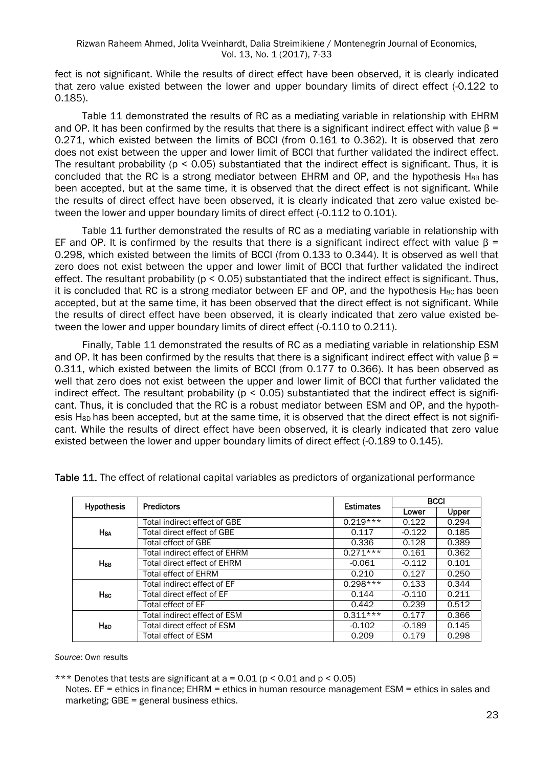fect is not significant. While the results of direct effect have been observed, it is clearly indicated that zero value existed between the lower and upper boundary limits of direct effect (-0.122 to 0.185).

Table 11 demonstrated the results of RC as a mediating variable in relationship with EHRM and OP. It has been confirmed by the results that there is a significant indirect effect with value β = 0.271, which existed between the limits of BCCI (from 0.161 to 0.362). It is observed that zero does not exist between the upper and lower limit of BCCI that further validated the indirect effect. The resultant probability ( $p < 0.05$ ) substantiated that the indirect effect is significant. Thus, it is concluded that the RC is a strong mediator between EHRM and OP, and the hypothesis  $H_{8B}$  has been accepted, but at the same time, it is observed that the direct effect is not significant. While the results of direct effect have been observed, it is clearly indicated that zero value existed between the lower and upper boundary limits of direct effect (-0.112 to 0.101).

Table 11 further demonstrated the results of RC as a mediating variable in relationship with EF and OP. It is confirmed by the results that there is a significant indirect effect with value  $\beta$  = 0.298, which existed between the limits of BCCI (from 0.133 to 0.344). It is observed as well that zero does not exist between the upper and lower limit of BCCI that further validated the indirect effect. The resultant probability ( $p < 0.05$ ) substantiated that the indirect effect is significant. Thus, it is concluded that RC is a strong mediator between EF and OP, and the hypothesis  $H_{8C}$  has been accepted, but at the same time, it has been observed that the direct effect is not significant. While the results of direct effect have been observed, it is clearly indicated that zero value existed between the lower and upper boundary limits of direct effect (-0.110 to 0.211).

Finally, Table 11 demonstrated the results of RC as a mediating variable in relationship ESM and OP. It has been confirmed by the results that there is a significant indirect effect with value  $\beta$  = 0.311, which existed between the limits of BCCI (from 0.177 to 0.366). It has been observed as well that zero does not exist between the upper and lower limit of BCCI that further validated the indirect effect. The resultant probability ( $p < 0.05$ ) substantiated that the indirect effect is significant. Thus, it is concluded that the RC is a robust mediator between ESM and OP, and the hypothesis H<sub>8D</sub> has been accepted, but at the same time, it is observed that the direct effect is not significant. While the results of direct effect have been observed, it is clearly indicated that zero value existed between the lower and upper boundary limits of direct effect (-0.189 to 0.145).

| <b>Hypothesis</b>      | <b>Predictors</b>             | <b>Estimates</b> | <b>BCCI</b> |              |
|------------------------|-------------------------------|------------------|-------------|--------------|
|                        |                               |                  | Lower       | <b>Upper</b> |
|                        | Total indirect effect of GBE  | $0.219***$       | 0.122       | 0.294        |
| <b>H<sub>8A</sub></b>  | Total direct effect of GBE    | 0.117            | $-0.122$    | 0.185        |
|                        | Total effect of GBE           | 0.336            | 0.128       | 0.389        |
|                        | Total indirect effect of EHRM | $0.271***$       | 0.161       | 0.362        |
| <b>H</b> <sub>BB</sub> | Total direct effect of EHRM   | $-0.061$         | $-0.112$    | 0.101        |
|                        | Total effect of EHRM          | 0.210            | 0.127       | 0.250        |
|                        | Total indirect effect of EF   | $0.298***$       | 0.133       | 0.344        |
| <b>H<sub>sc</sub></b>  | Total direct effect of EF     | 0.144            | $-0.110$    | 0.211        |
|                        | Total effect of EF            | 0.442            | 0.239       | 0.512        |
|                        | Total indirect effect of ESM  | $0.311***$       | 0.177       | 0.366        |
| <b>H</b> sp            | Total direct effect of ESM    | $-0.102$         | $-0.189$    | 0.145        |
|                        | Total effect of ESM           | 0.209            | 0.179       | 0.298        |

Table 11. The effect of relational capital variables as predictors of organizational performance

*Source*: Own results

\*\*\* Denotes that tests are significant at  $a = 0.01$  (p < 0.01 and p < 0.05)

Notes. EF = ethics in finance: EHRM = ethics in human resource management ESM = ethics in sales and marketing; GBE = general business ethics.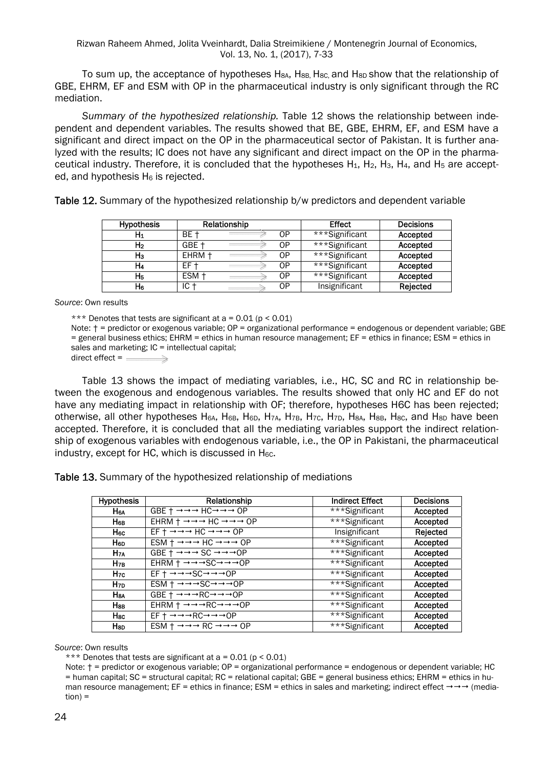Rizwan Raheem Ahmed, Jolita Vveinhardt, Dalia Streimikiene / Montenegrin Journal of Economics, Vol. 13, No. 1, (2017), 7-33

To sum up, the acceptance of hypotheses H<sub>8A</sub>, H<sub>8B</sub>, H<sub>8C</sub>, and H<sub>8D</sub> show that the relationship of GBE, EHRM, EF and ESM with OP in the pharmaceutical industry is only significant through the RC mediation.

*Summary of the hypothesized relationship.* Table 12 shows the relationship between independent and dependent variables. The results showed that BE, GBE, EHRM, EF, and ESM have a significant and direct impact on the OP in the pharmaceutical sector of Pakistan. It is further analyzed with the results; IC does not have any significant and direct impact on the OP in the pharmaceutical industry. Therefore, it is concluded that the hypotheses  $H_1$ ,  $H_2$ ,  $H_3$ ,  $H_4$ , and  $H_5$  are accepted, and hypothesis  $H_6$  is rejected.

Table 12. Summary of the hypothesized relationship b/w predictors and dependent variable

| <b>Hypothesis</b> |        | Relationship |    | <b>Effect</b>  | Decisions |
|-------------------|--------|--------------|----|----------------|-----------|
| H1                | BE +   |              | ОP | ***Significant | Accepted  |
| H2                | GBE +  |              | ОP | ***Significant | Accepted  |
| Hз                | EHRM + |              | ОP | ***Significant | Accepted  |
| H4                | EF.    |              | ОP | ***Significant | Accepted  |
| H5                | ESM +  |              | ОP | ***Significant | Accepted  |
| H6                | IC ·   |              | ОP | Insignificant  | Rejected  |

*Source*: Own results

\*\*\* Denotes that tests are significant at  $a = 0.01$  ( $p \le 0.01$ )

Note:  $\dagger$  = predictor or exogenous variable; OP = organizational performance = endogenous or dependent variable; GBE = general business ethics; EHRM = ethics in human resource management; EF = ethics in finance; ESM = ethics in sales and marketing;  $IC =$  intellectual capital;

direct effect  $=$   $=$ 

Table 13 shows the impact of mediating variables, i.e., HC, SC and RC in relationship between the exogenous and endogenous variables. The results showed that only HC and EF do not have any mediating impact in relationship with OF; therefore, hypotheses H6C has been rejected; otherwise, all other hypotheses H6A, H6B, H6D, H7A, H7B, H7C, H7D, H8A, H8B, H8C, and H8D have been accepted. Therefore, it is concluded that all the mediating variables support the indirect relationship of exogenous variables with endogenous variable, i.e., the OP in Pakistani, the pharmaceutical industry, except for HC, which is discussed in H<sub>6C</sub>.

Table 13. Summary of the hypothesized relationship of mediations

| <b>Hypothesis</b>     | Relationship                                                                                               | <b>Indirect Effect</b> | Decisions |
|-----------------------|------------------------------------------------------------------------------------------------------------|------------------------|-----------|
| H <sub>6A</sub>       | GBE $+ \rightarrow \rightarrow$ HC $\rightarrow \rightarrow \rightarrow$ OP                                | ***Significant         | Accepted  |
| Нвв                   | EHRM $\dagger \rightarrow \rightarrow \rightarrow$ HC $\rightarrow \rightarrow \rightarrow$ OP             | ***Significant         | Accepted  |
| Hес                   | $EF + \rightarrow \rightarrow \rightarrow HC \rightarrow \rightarrow \rightarrow OP$                       | Insignificant          | Rejected  |
| <b>H</b> <sub>6</sub> | $ESM + \rightarrow \rightarrow \rightarrow HC \rightarrow \rightarrow \rightarrow OP$                      | ***Significant         | Accepted  |
| H <sub>7A</sub>       | GBE $\dagger \rightarrow \rightarrow \rightarrow$ SC $\rightarrow \rightarrow \rightarrow$ OP              | ***Significant         | Accepted  |
| $H_{7B}$              | EHRM $\dagger \rightarrow \rightarrow \rightarrow \text{SC} \rightarrow \rightarrow \rightarrow \text{OP}$ | ***Significant         | Accepted  |
| H <sub>7C</sub>       | $EF + \rightarrow \rightarrow \rightarrow SC \rightarrow \rightarrow \rightarrow OP$                       | ***Significant         | Accepted  |
| H <sub>7D</sub>       | $ESM + \rightarrow \rightarrow \rightarrow SC \rightarrow \rightarrow \rightarrow OP$                      | ***Significant         | Accepted  |
| <b>H<sub>8A</sub></b> | $GBE + \rightarrow \rightarrow \rightarrow RC \rightarrow \rightarrow \rightarrow OP$                      | ***Significant         | Accepted  |
| H <sub>8B</sub>       | EHRM $\dagger \rightarrow \rightarrow \rightarrow RC \rightarrow \rightarrow \rightarrow OP$               | ***Significant         | Accepted  |
| Hsc                   | $EF + \rightarrow \rightarrow \rightarrow RC \rightarrow \rightarrow \rightarrow OP$                       | ***Significant         | Accepted  |
| Hsp                   | $ESM + \rightarrow \rightarrow \rightarrow RC \rightarrow \rightarrow \rightarrow OP$                      | ***Significant         | Accepted  |

*Source*: Own results

\*\*\* Denotes that tests are significant at  $a = 0.01$  ( $p \le 0.01$ )

Note:  $t =$  predictor or exogenous variable; OP = organizational performance = endogenous or dependent variable; HC = human capital; SC = structural capital; RC = relational capital; GBE = general business ethics; EHRM = ethics in human resource management; EF = ethics in finance; ESM = ethics in sales and marketing; indirect effect  $\rightarrow \rightarrow$  (media $tion) =$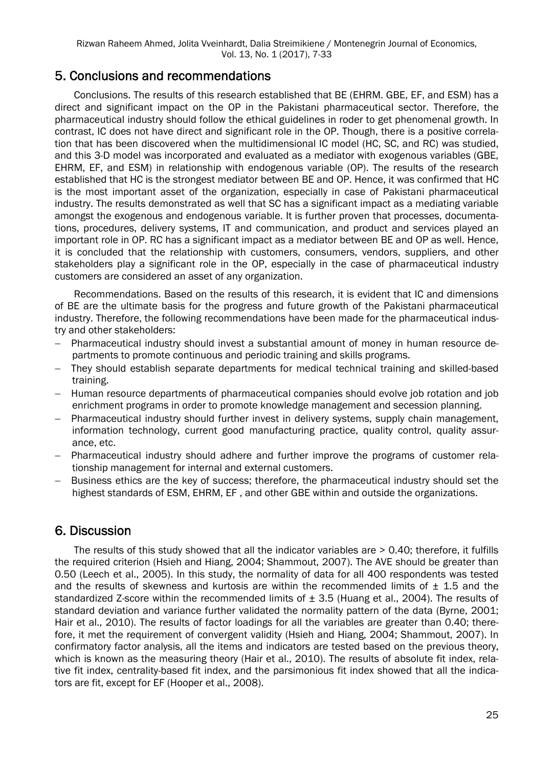## 5. Conclusions and recommendations

Conclusions. The results of this research established that BE (EHRM. GBE, EF, and ESM) has a direct and significant impact on the OP in the Pakistani pharmaceutical sector. Therefore, the pharmaceutical industry should follow the ethical guidelines in roder to get phenomenal growth. In contrast, IC does not have direct and significant role in the OP. Though, there is a positive correlation that has been discovered when the multidimensional IC model (HC, SC, and RC) was studied, and this 3-D model was incorporated and evaluated as a mediator with exogenous variables (GBE, EHRM, EF, and ESM) in relationship with endogenous variable (OP). The results of the research established that HC is the strongest mediator between BE and OP. Hence, it was confirmed that HC is the most important asset of the organization, especially in case of Pakistani pharmaceutical industry. The results demonstrated as well that SC has a significant impact as a mediating variable amongst the exogenous and endogenous variable. It is further proven that processes, documentations, procedures, delivery systems, IT and communication, and product and services played an important role in OP. RC has a significant impact as a mediator between BE and OP as well. Hence, it is concluded that the relationship with customers, consumers, vendors, suppliers, and other stakeholders play a significant role in the OP, especially in the case of pharmaceutical industry customers are considered an asset of any organization.

Recommendations. Based on the results of this research, it is evident that IC and dimensions of BE are the ultimate basis for the progress and future growth of the Pakistani pharmaceutical industry. Therefore, the following recommendations have been made for the pharmaceutical industry and other stakeholders:

- Pharmaceutical industry should invest a substantial amount of money in human resource departments to promote continuous and periodic training and skills programs.
- They should establish separate departments for medical technical training and skilled-based training.
- Human resource departments of pharmaceutical companies should evolve job rotation and job enrichment programs in order to promote knowledge management and secession planning.
- Pharmaceutical industry should further invest in delivery systems, supply chain management, information technology, current good manufacturing practice, quality control, quality assurance, etc.
- Pharmaceutical industry should adhere and further improve the programs of customer relationship management for internal and external customers.
- Business ethics are the key of success; therefore, the pharmaceutical industry should set the highest standards of ESM, EHRM, EF , and other GBE within and outside the organizations.

## 6. Discussion

The results of this study showed that all the indicator variables are > 0.40; therefore, it fulfills the required criterion (Hsieh and Hiang, 2004; Shammout, 2007). The AVE should be greater than 0.50 (Leech et al., 2005). In this study, the normality of data for all 400 respondents was tested and the results of skewness and kurtosis are within the recommended limits of  $\pm$  1.5 and the standardized Z-score within the recommended limits of  $\pm$  3.5 (Huang et al., 2004). The results of standard deviation and variance further validated the normality pattern of the data (Byrne, 2001; Hair et al., 2010). The results of factor loadings for all the variables are greater than 0.40; therefore, it met the requirement of convergent validity (Hsieh and Hiang, 2004; Shammout, 2007). In confirmatory factor analysis, all the items and indicators are tested based on the previous theory, which is known as the measuring theory (Hair et al., 2010). The results of absolute fit index, relative fit index, centrality-based fit index, and the parsimonious fit index showed that all the indicators are fit, except for EF (Hooper et al., 2008).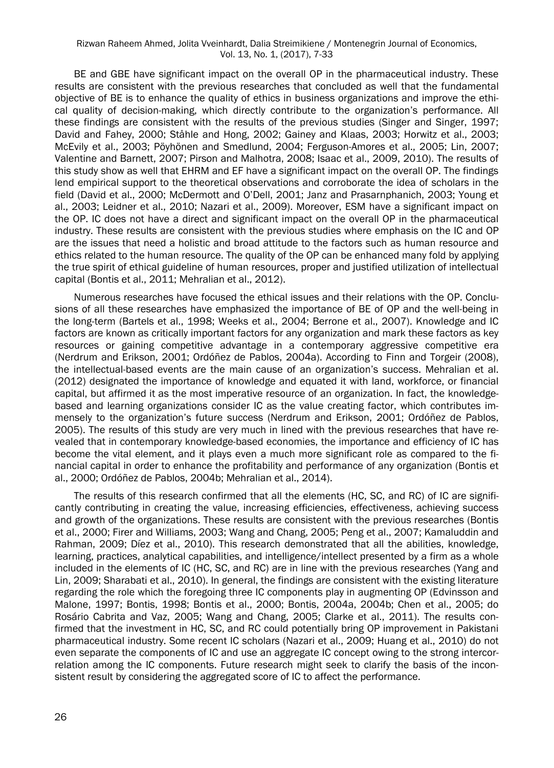BE and GBE have significant impact on the overall OP in the pharmaceutical industry. These results are consistent with the previous researches that concluded as well that the fundamental objective of BE is to enhance the quality of ethics in business organizations and improve the ethical quality of decision-making, which directly contribute to the organization's performance. All these findings are consistent with the results of the previous studies (Singer and Singer, 1997; David and Fahey, 2000; Ståhle and Hong, 2002; Gainey and Klaas, 2003; Horwitz et al., 2003; McEvily et al., 2003; Pöyhönen and Smedlund, 2004; Ferguson-Amores et al., 2005; Lin, 2007; Valentine and Barnett, 2007; Pirson and Malhotra, 2008; Isaac et al., 2009, 2010). The results of this study show as well that EHRM and EF have a significant impact on the overall OP. The findings lend empirical support to the theoretical observations and corroborate the idea of scholars in the field (David et al., 2000; McDermott and O'Dell, 2001; Janz and Prasarnphanich, 2003; Young et al., 2003; Leidner et al., 2010; Nazari et al., 2009). Moreover, ESM have a significant impact on the OP. IC does not have a direct and significant impact on the overall OP in the pharmaceutical industry. These results are consistent with the previous studies where emphasis on the IC and OP are the issues that need a holistic and broad attitude to the factors such as human resource and ethics related to the human resource. The quality of the OP can be enhanced many fold by applying the true spirit of ethical guideline of human resources, proper and justified utilization of intellectual capital (Bontis et al., 2011; Mehralian et al., 2012).

Numerous researches have focused the ethical issues and their relations with the OP. Conclusions of all these researches have emphasized the importance of BE of OP and the well-being in the long-term (Bartels et al., 1998; Weeks et al., 2004; Berrone et al., 2007). Knowledge and IC factors are known as critically important factors for any organization and mark these factors as key resources or gaining competitive advantage in a contemporary aggressive competitive era (Nerdrum and Erikson, 2001; Ordóñez de Pablos, 2004a). According to Finn and Torgeir (2008), the intellectual-based events are the main cause of an organization's success. Mehralian et al. (2012) designated the importance of knowledge and equated it with land, workforce, or financial capital, but affirmed it as the most imperative resource of an organization. In fact, the knowledgebased and learning organizations consider IC as the value creating factor, which contributes immensely to the organization's future success (Nerdrum and Erikson, 2001; Ordóñez de Pablos, 2005). The results of this study are very much in lined with the previous researches that have revealed that in contemporary knowledge-based economies, the importance and efficiency of IC has become the vital element, and it plays even a much more significant role as compared to the financial capital in order to enhance the profitability and performance of any organization (Bontis et al., 2000; Ordóñez de Pablos, 2004b; Mehralian et al., 2014).

The results of this research confirmed that all the elements (HC, SC, and RC) of IC are significantly contributing in creating the value, increasing efficiencies, effectiveness, achieving success and growth of the organizations. These results are consistent with the previous researches (Bontis et al., 2000; Firer and Williams, 2003; Wang and Chang, 2005; Peng et al., 2007; Kamaluddin and Rahman, 2009; Díez et al., 2010). This research demonstrated that all the abilities, knowledge, learning, practices, analytical capabilities, and intelligence/intellect presented by a firm as a whole included in the elements of IC (HC, SC, and RC) are in line with the previous researches (Yang and Lin, 2009; Sharabati et al., 2010). In general, the findings are consistent with the existing literature regarding the role which the foregoing three IC components play in augmenting OP (Edvinsson and Malone, 1997; Bontis, 1998; Bontis et al., 2000; Bontis, 2004a, 2004b; Chen et al., 2005; do Rosário Cabrita and Vaz, 2005; Wang and Chang, 2005; Clarke et al., 2011). The results confirmed that the investment in HC, SC, and RC could potentially bring OP improvement in Pakistani pharmaceutical industry. Some recent IC scholars (Nazari et al., 2009; Huang et al., 2010) do not even separate the components of IC and use an aggregate IC concept owing to the strong intercorrelation among the IC components. Future research might seek to clarify the basis of the inconsistent result by considering the aggregated score of IC to affect the performance.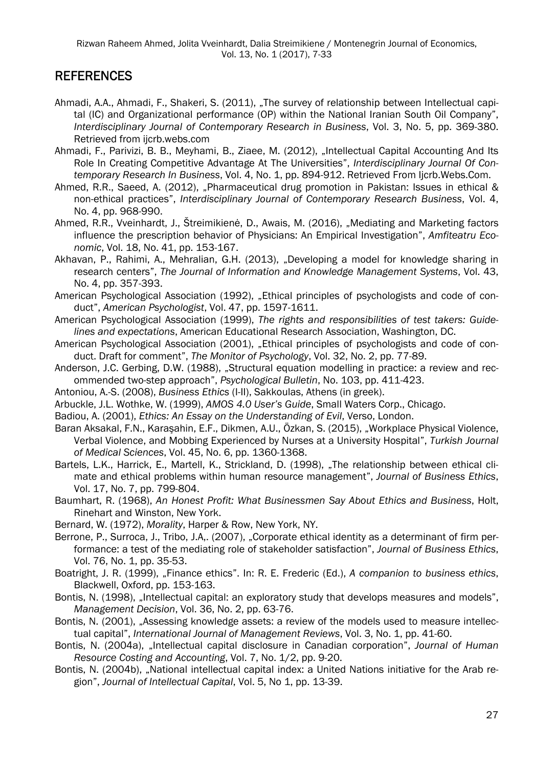## REFERENCES

- Ahmadi, A.A., Ahmadi, F., Shakeri, S. (2011), "The survey of relationship between Intellectual capital (IC) and Organizational performance (OP) within the National Iranian South Oil Company", *Interdisciplinary Journal of Contemporary Research in Business*, Vol. 3, No. 5, pp. 369-380. Retrieved from iicrb.webs.com
- Ahmadi, F., Parivizi, B. B., Meyhami, B., Ziaee, M. (2012), "Intellectual Capital Accounting And Its Role In Creating Competitive Advantage At The Universities", *Interdisciplinary Journal Of Contemporary Research In Business*, Vol. 4, No. 1, pp. 894-912. Retrieved From Ijcrb.Webs.Com.
- Ahmed, R.R., Saeed, A. (2012), "Pharmaceutical drug promotion in Pakistan: Issues in ethical & non-ethical practices", *Interdisciplinary Journal of Contemporary Research Business*, Vol. 4, No. 4, pp. 968-990.
- Ahmed, R.R., Vveinhardt, J., Štreimikienė, D., Awais, M. (2016), "Mediating and Marketing factors influence the prescription behavior of Physicians: An Empirical Investigation", *Amfiteatru Economic*, Vol. 18, No. 41, pp. 153-167.
- Akhavan, P., Rahimi, A., Mehralian, G.H. (2013), "Developing a model for knowledge sharing in research centers", *The Journal of Information and Knowledge Management Systems*, Vol. 43, No. 4, pp. 357-393.
- American Psychological Association (1992), "Ethical principles of psychologists and code of conduct", *American Psychologist*, Vol. 47, pp. 1597-1611.
- American Psychological Association (1999), *The rights and responsibilities of test takers: Guidelines and expectations*, American Educational Research Association, Washington, DC.
- American Psychological Association (2001), "Ethical principles of psychologists and code of conduct. Draft for comment", *The Monitor of Psychology*, Vol. 32, No. 2, pp. 77-89.
- Anderson, J.C. Gerbing, D.W. (1988), "Structural equation modelling in practice: a review and recommended two-step approach", *Psychological Bulletin*, No. 103, pp. 411-423.
- Antoniou, Α.-S. (2008), *Business Ethics* (I-II), Sakkoulas, Αthens (in greek).
- Arbuckle, J.L. Wothke, W. (1999), *AMOS 4.0 User's Guide*, Small Waters Corp., Chicago.
- Badiou, A. (2001), *Ethics: An Essay on the Understanding of Evil*, Verso, London.
- Baran Aksakal, F.N., Karaşahin, E.F., Dikmen, A.U., Özkan, S. (2015), "Workplace Physical Violence, Verbal Violence, and Mobbing Experienced by Nurses at a University Hospital", *Turkish Journal of Medical Sciences*, Vol. 45, No. 6, pp. 1360-1368.
- Bartels, L.K., Harrick, E., Martell, K., Strickland, D. (1998), "The relationship between ethical climate and ethical problems within human resource management", *Journal of Business Ethics*, Vol. 17, No. 7, pp. 799-804.
- Baumhart, R. (1968), *An Honest Profit: What Businessmen Say About Ethics and Business*, Holt, Rinehart and Winston, New York.
- Bernard, W. (1972), *Morality*, Harper & Row, New York, NY.
- Berrone, P., Surroca, J., Tribo, J.A,. (2007), "Corporate ethical identity as a determinant of firm performance: a test of the mediating role of stakeholder satisfaction", *Journal of Business Ethics*, Vol. 76, No. 1, pp. 35-53.
- Boatright, J. R. (1999), "Finance ethics". In: R. E. Frederic (Ed.), A companion to business ethics, Blackwell, Oxford, pp. 153-163.
- Bontis, N. (1998), "Intellectual capital: an exploratory study that develops measures and models", *Management Decision*, Vol. 36, No. 2, pp. 63-76.
- Bontis, N. (2001), "Assessing knowledge assets: a review of the models used to measure intellectual capital", *International Journal of Management Reviews*, Vol. 3, No. 1, pp. 41-60.
- Bontis, N. (2004a), "Intellectual capital disclosure in Canadian corporation", *Journal of Human Resource Costing and Accounting*, Vol. 7, No. 1/2, pp. 9-20.
- Bontis, N. (2004b), "National intellectual capital index: a United Nations initiative for the Arab region", *Journal of Intellectual Capital*, Vol. 5, No 1, pp. 13-39.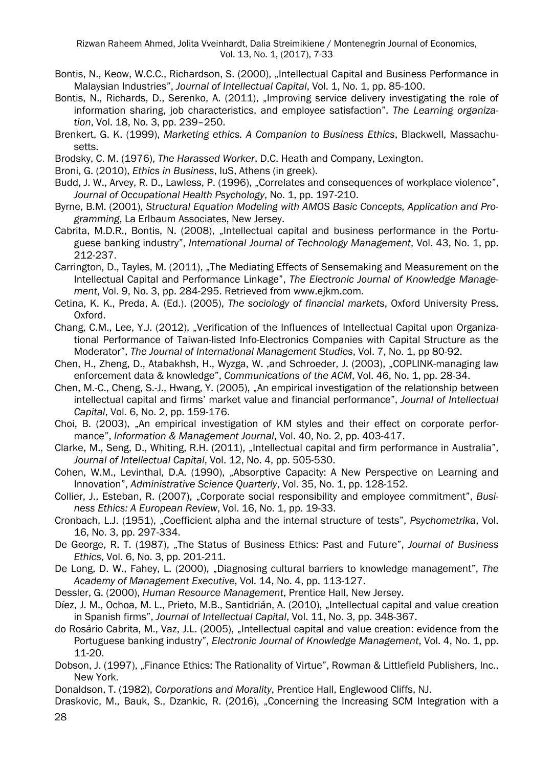Rizwan Raheem Ahmed, Jolita Vveinhardt, Dalia Streimikiene / Montenegrin Journal of Economics, Vol. 13, No. 1, (2017), 7-33

- Bontis, N., Keow, W.C.C., Richardson, S. (2000), "Intellectual Capital and Business Performance in Malaysian Industries", *Journal of Intellectual Capital*, Vol. 1, No. 1, pp. 85-100.
- Bontis, N., Richards, D., Serenko, A. (2011), "Improving service delivery investigating the role of information sharing, job characteristics, and employee satisfaction", *The Learning organization*, Vol. 18, No. 3, pp. 239–250.
- Brenkert, G. K. (1999), *Marketing ethics. A Companion to Business Ethics*, Blackwell, Massachusetts.
- Brodsky, C. M. (1976), *The Harassed Worker*, D.C. Heath and Company, Lexington.

Broni, G. (2010), *Ethics in Business*, IuS, Athens (in greek).

Budd, J. W., Arvey, R. D., Lawless, P. (1996), "Correlates and consequences of workplace violence", *Journal of Occupational Health Psychology*, No. 1, pp. 197-210.

Byrne, B.M. (2001), *Structural Equation Modeling with AMOS Basic Concepts, Application and Programming*, La Erlbaum Associates, New Jersey.

- Cabrita, M.D.R., Bontis, N. (2008), "Intellectual capital and business performance in the Portuguese banking industry", *International Journal of Technology Management*, Vol. 43, No. 1, pp. 212-237.
- Carrington, D., Tayles, M. (2011), "The Mediating Effects of Sensemaking and Measurement on the Intellectual Capital and Performance Linkage", *The Electronic Journal of Knowledge Management*, Vol. 9, No. 3, pp. 284-295. Retrieved from www.ejkm.com.

Cetina, K. K., Preda, A. (Ed.). (2005), *The sociology of financial markets*, Oxford University Press, Oxford.

- Chang, C.M., Lee, Y.J. (2012), "Verification of the Influences of Intellectual Capital upon Organizational Performance of Taiwan-listed Info-Electronics Companies with Capital Structure as the Moderator", *The Journal of International Management Studies*, Vol. 7, No. 1, pp 80-92.
- Chen, H., Zheng, D., Atabakhsh, H., Wyzga, W. ,and Schroeder, J. (2003), "COPLINK-managing law enforcement data & knowledge", *Communications of the ACM*, Vol. 46, No. 1, pp. 28-34.
- Chen, M.-C., Cheng, S.-J., Hwang, Y. (2005), "An empirical investigation of the relationship between intellectual capital and firms' market value and financial performance", *Journal of Intellectual Capital*, Vol. 6, No. 2, pp. 159-176.
- Choi, B. (2003), "An empirical investigation of KM styles and their effect on corporate performance", *Information & Management Journal*, Vol. 40, No. 2, pp. 403-417.
- Clarke, M., Seng, D., Whiting, R.H. (2011), "Intellectual capital and firm performance in Australia", *Journal of Intellectual Capital*, Vol. 12, No. 4, pp. 505-530.
- Cohen, W.M., Levinthal, D.A. (1990), "Absorptive Capacity: A New Perspective on Learning and Innovation", *Administrative Science Quarterly*, Vol. 35, No. 1, pp. 128-152.

Collier, J., Esteban, R. (2007), "Corporate social responsibility and employee commitment", *Business Ethics: A European Review*, Vol. 16, No. 1, pp. 19-33.

Cronbach, L.J. (1951), "Coefficient alpha and the internal structure of tests", *Psychometrika*, Vol. 16, No. 3, pp. 297-334.

De George, R. T. (1987), "The Status of Business Ethics: Past and Future", *Journal of Business Ethics*, Vol. 6, No. 3, pp. 201-211.

- De Long, D. W., Fahey, L. (2000), "Diagnosing cultural barriers to knowledge management", *The Academy of Management Executive*, Vol. 14, No. 4, pp. 113-127.
- Dessler, G. (2000), *Human Resource Management*, Prentice Hall, New Jersey.
- Díez, J. M., Ochoa, M. L., Prieto, M.B., Santidrián, A. (2010), "Intellectual capital and value creation in Spanish firms", *Journal of Intellectual Capital*, Vol. 11, No. 3, pp. 348-367.
- do Rosário Cabrita, M., Vaz, J.L. (2005), "Intellectual capital and value creation: evidence from the Portuguese banking industry", *Electronic Journal of Knowledge Management*, Vol. 4, No. 1, pp. 11-20.
- Dobson, J. (1997), "Finance Ethics: The Rationality of Virtue", Rowman & Littlefield Publishers, Inc., New York.

Donaldson, T. (1982), *Corporations and Morality*, Prentice Hall, Englewood Cliffs, NJ.

28 Draskovic, M., Bauk, S., Dzankic, R. (2016), "Concerning the Increasing SCM Integration with a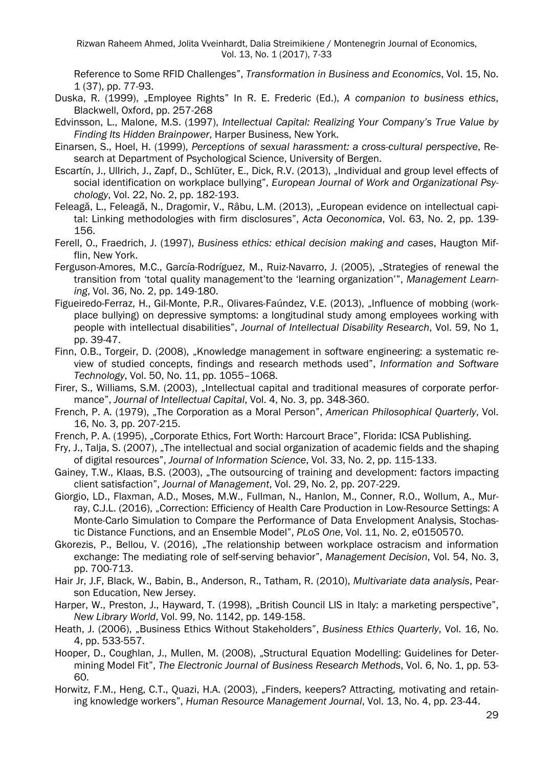Rizwan Raheem Ahmed, Jolita Vveinhardt, Dalia Streimikiene / Montenegrin Journal of Economics, Vol. 13, No. 1 (2017), 7-33

Reference to Some RFID Challenges", *Transformation in Business and Economics*, Vol. 15, No. 1 (37), pp. 77-93.

- Duska, R. (1999), "Employee Rights" In R. E. Frederic (Ed.), *A companion to business ethics*, Blackwell, Oxford, pp. 257-268
- Edvinsson, L., Malone, M.S. (1997), *Intellectual Capital: Realizing Your Company's True Value by Finding Its Hidden Brainpower*, Harper Business, New York.
- Einarsen, S., Hoel, H. (1999), *Perceptions of sexual harassment: a cross-cultural perspective*, Research at Department of Psychological Science, University of Bergen.
- Escartín, J., Ullrich, J., Zapf, D., Schlüter, E., Dick, R.V. (2013), "Individual and group level effects of social identification on workplace bullying", *European Journal of Work and Organizational Psychology*, Vol. 22, No. 2, pp. 182-193.
- Feleagă, L., Feleagă, N., Dragomir, V., Râbu, L.M. (2013), "European evidence on intellectual capital: Linking methodologies with firm disclosures", *Acta Oeconomica*, Vol. 63, No. 2, pp. 139- 156.
- Ferell, O., Fraedrich, J. (1997), *Business ethics: ethical decision making and cases*, Haugton Mifflin, New York.
- Ferguson-Amores, M.C., García-Rodríguez, M., Ruiz-Navarro, J. (2005), "Strategies of renewal the transition from 'total quality management'to the 'learning organization'", *Management Learning*, Vol. 36, No. 2, pp. 149-180.
- Figueiredo-Ferraz, H., Gil-Monte, P.R., Olivares-Faúndez, V.E. (2013), "Influence of mobbing (workplace bullying) on depressive symptoms: a longitudinal study among employees working with people with intellectual disabilities", *Journal of Intellectual Disability Research*, Vol. 59, No 1, pp. 39-47.
- Finn, O.B., Torgeir, D. (2008), "Knowledge management in software engineering: a systematic review of studied concepts, findings and research methods used", *Information and Software Technology*, Vol. 50, No. 11, pp. 1055–1068.
- Firer, S., Williams, S.M. (2003), "Intellectual capital and traditional measures of corporate performance", *Journal of Intellectual Capital*, Vol. 4, No. 3, pp. 348-360.
- French, P. A. (1979), "The Corporation as a Moral Person", *American Philosophical Quarterly*, Vol. 16, No. 3, pp. 207-215.
- French, P. A. (1995), "Corporate Ethics, Fort Worth: Harcourt Brace", Florida: ICSA Publishing.
- Fry, J., Talja, S. (2007), "The intellectual and social organization of academic fields and the shaping of digital resources", *Journal of Information Science*, Vol. 33, No. 2, pp. 115-133.
- Gainey, T.W., Klaas, B.S. (2003), "The outsourcing of training and development: factors impacting client satisfaction", *Journal of Management*, Vol. 29, No. 2, pp. 207-229.
- Giorgio, LD., Flaxman, A.D., Moses, M.W., Fullman, N., Hanlon, M., Conner, R.O., Wollum, A., Murray, C.J.L. (2016), "Correction: Efficiency of Health Care Production in Low-Resource Settings: A Monte-Carlo Simulation to Compare the Performance of Data Envelopment Analysis, Stochastic Distance Functions, and an Ensemble Model", *PLoS One*, Vol. 11, No. 2, e0150570.
- Gkorezis, P., Bellou, V. (2016), "The relationship between workplace ostracism and information exchange: The mediating role of self-serving behavior", *Management Decision*, Vol. 54, No. 3, pp. 700-713.
- Hair Jr, J.F, Black, W., Babin, B., Anderson, R., Tatham, R. (2010), *Multivariate data analysis*, Pearson Education, New Jersey.
- Harper, W., Preston, J., Hayward, T. (1998), "British Council LIS in Italy: a marketing perspective", *New Library World*, Vol. 99, No. 1142, pp. 149-158.
- Heath, J. (2006), "Business Ethics Without Stakeholders", Business Ethics Quarterly, Vol. 16, No. 4, pp. 533-557.
- Hooper, D., Coughlan, J., Mullen, M. (2008), "Structural Equation Modelling: Guidelines for Determining Model Fit", *The Electronic Journal of Business Research Methods*, Vol. 6, No. 1, pp. 53- 60.
- Horwitz, F.M., Heng, C.T., Quazi, H.A. (2003), "Finders, keepers? Attracting, motivating and retaining knowledge workers", *Human Resource Management Journal*, Vol. 13, No. 4, pp. 23-44.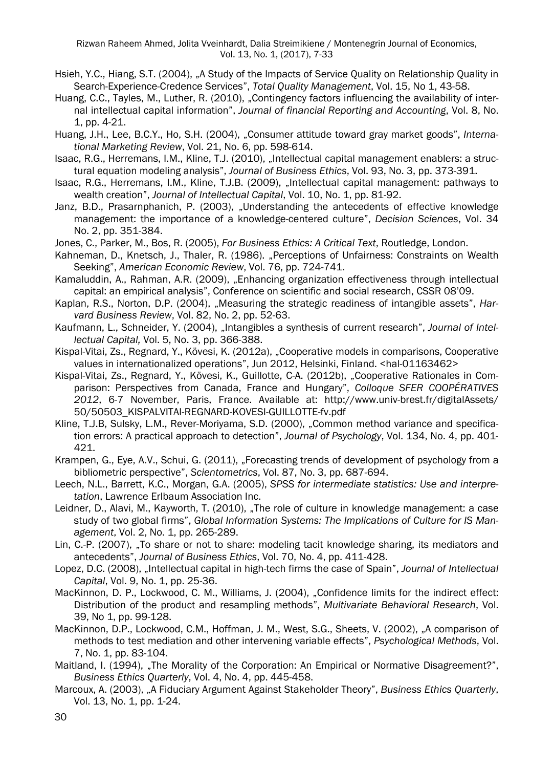- Hsieh, Y.C., Hiang, S.T. (2004), "A Study of the Impacts of Service Quality on Relationship Quality in Search-Experience-Credence Services", *Total Quality Management*, Vol. 15, No 1, 43-58.
- Huang, C.C., Tayles, M., Luther, R. (2010), "Contingency factors influencing the availability of internal intellectual capital information", *Journal of financial Reporting and Accounting*, Vol. 8, No. 1, pp. 4-21.
- Huang, J.H., Lee, B.C.Y., Ho, S.H. (2004), "Consumer attitude toward gray market goods", *International Marketing Review*, Vol. 21, No. 6, pp. 598-614.
- Isaac, R.G., Herremans, I.M., Kline, T.J. (2010), "Intellectual capital management enablers: a structural equation modeling analysis", *Journal of Business Ethics*, Vol. 93, No. 3, pp. 373-391.
- Isaac, R.G., Herremans, I.M., Kline, T.J.B. (2009), "Intellectual capital management: pathways to wealth creation", *Journal of Intellectual Capital*, Vol. 10, No. 1, pp. 81-92.
- Janz, B.D., Prasarnphanich, P. (2003), "Understanding the antecedents of effective knowledge management: the importance of a knowledge-centered culture", *Decision Sciences*, Vol. 34 No. 2, pp. 351-384.
- Jones, C., Parker, M., Bos, R. (2005), *For Business Ethics: A Critical Text*, Routledge, London.
- Kahneman, D., Knetsch, J., Thaler, R. (1986). "Perceptions of Unfairness: Constraints on Wealth Seeking", *American Economic Review*, Vol. 76, pp. 724-741.
- Kamaluddin, A., Rahman, A.R. (2009), "Enhancing organization effectiveness through intellectual capital: an empirical analysis", Conference on scientific and social research, CSSR 08'09.
- Kaplan, R.S., Norton, D.P. (2004), "Measuring the strategic readiness of intangible assets", *Harvard Business Review*, Vol. 82, No. 2, pp. 52-63.
- Kaufmann, L., Schneider, Y. (2004), "Intangibles a synthesis of current research", *Journal of Intellectual Capital,* Vol. 5, No. 3, pp. 366-388.
- Kispal-Vitai, Zs., Regnard, Y., Kövesi, K. (2012a), "Cooperative models in comparisons, Cooperative values in internationalized operations", Jun 2012, Helsinki, Finland. <hal-01163462>
- Kispal-Vitai, Zs., Regnard, Y., Kövesi, K., Guillotte, C-A. (2012b), "Cooperative Rationales in Comparison: Perspectives from Canada, France and Hungary", *Colloque SFER COOPÉRATIVES 2012*, 6-7 November, Paris, France. Available at: http://www.univ-brest.fr/digitalAssets/ 50/50503\_KISPALVITAI-REGNARD-KOVESI-GUILLOTTE-fv.pdf
- Kline, T.J.B, Sulsky, L.M., Rever-Moriyama, S.D. (2000), "Common method variance and specification errors: A practical approach to detection", *Journal of Psychology*, Vol. 134, No. 4, pp. 401- 421.
- Krampen, G., Eye, A.V., Schui, G. (2011), "Forecasting trends of development of psychology from a bibliometric perspective", *Scientometrics*, Vol. 87, No. 3, pp. 687-694.
- Leech, N.L., Barrett, K.C., Morgan, G.A. (2005), *SPSS for intermediate statistics: Use and interpretation*, Lawrence Erlbaum Association Inc.
- Leidner, D., Alavi, M., Kayworth, T. (2010), "The role of culture in knowledge management: a case study of two global firms", *Global Information Systems: The Implications of Culture for IS Management*, Vol. 2, No. 1, pp. 265-289.
- Lin, C.-P. (2007), "To share or not to share: modeling tacit knowledge sharing, its mediators and antecedents", *Journal of Business Ethics*, Vol. 70, No. 4, pp. 411-428.
- Lopez, D.C. (2008), "Intellectual capital in high-tech firms the case of Spain", *Journal of Intellectual Capital*, Vol. 9, No. 1, pp. 25-36.
- MacKinnon, D. P., Lockwood, C. M., Williams, J. (2004), "Confidence limits for the indirect effect: Distribution of the product and resampling methods", *Multivariate Behavioral Research*, Vol. 39, No 1, pp. 99-128.
- MacKinnon, D.P., Lockwood, C.M., Hoffman, J. M., West, S.G., Sheets, V. (2002), "A comparison of methods to test mediation and other intervening variable effects", *Psychological Methods*, Vol. 7, No. 1, pp. 83-104.
- Maitland, I. (1994), "The Morality of the Corporation: An Empirical or Normative Disagreement?", *Business Ethics Quarterly*, Vol. 4, No. 4, pp. 445-458.
- Marcoux, A. (2003), "A Fiduciary Argument Against Stakeholder Theory", *Business Ethics Quarterly*, Vol. 13, No. 1, pp. 1-24.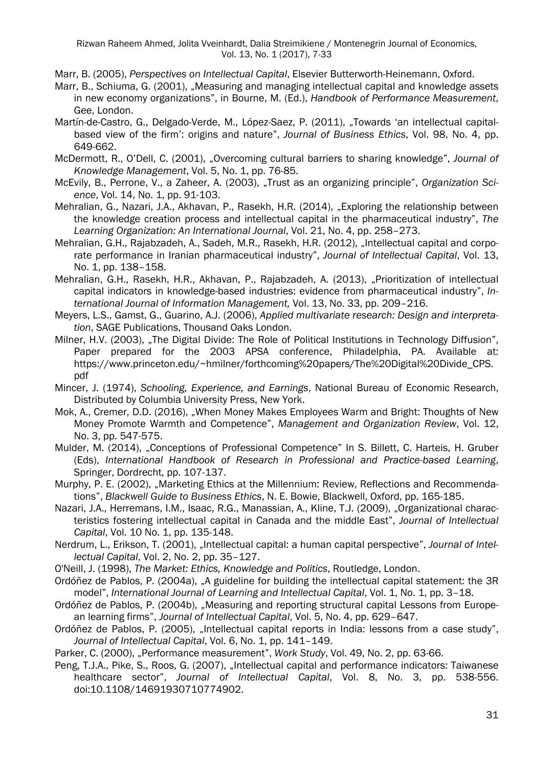Marr, B. (2005), *Perspectives on Intellectual Capital*, Elsevier Butterworth-Heinemann, Oxford.

- Marr, B., Schiuma, G. (2001), "Measuring and managing intellectual capital and knowledge assets in new economy organizations", in Bourne, M. (Ed.), *Handbook of Performance Measurement*, Gee, London.
- Martín-de-Castro, G., Delgado-Verde, M., López-Saez, P. (2011), "Towards 'an intellectual capitalbased view of the firm': origins and nature", *Journal of Business Ethics*, Vol. 98, No. 4, pp. 649-662.
- McDermott, R., O'Dell, C. (2001), "Overcoming cultural barriers to sharing knowledge", *Journal of Knowledge Management*, Vol. 5, No. 1, pp. 76-85.
- McEvily, B., Perrone, V., a Zaheer, A. (2003), "Trust as an organizing principle", *Organization Science*, Vol. 14, No. 1, pp. 91-103.
- Mehralian, G., Nazari, J.A., Akhavan, P., Rasekh, H.R. (2014), "Exploring the relationship between the knowledge creation process and intellectual capital in the pharmaceutical industry", *The Learning Organization: An International Journal*, Vol. 21, No. 4, pp. 258–273.
- Mehralian, G.H., Raiabzadeh, A., Sadeh, M.R., Rasekh, H.R. (2012), "Intellectual capital and corporate performance in Iranian pharmaceutical industry", *Journal of Intellectual Capital*, Vol. 13, No. 1, pp. 138–158.
- Mehralian, G.H., Rasekh, H.R., Akhavan, P., Rajabzadeh, A. (2013), "Prioritization of intellectual capital indicators in knowledge-based industries: evidence from pharmaceutical industry", *International Journal of Information Management,* Vol. 13, No. 33, pp. 209–216.
- Meyers, L.S., Gamst, G., Guarino, A.J. (2006), *Applied multivariate research: Design and interpretation*, SAGE Publications, Thousand Oaks London.
- Milner, H.V. (2003), "The Digital Divide: The Role of Political Institutions in Technology Diffusion", Paper prepared for the 2003 APSA conference, Philadelphia, PA. Available at: https://www.princeton.edu/~hmilner/forthcoming%20papers/The%20Digital%20Divide\_CPS. pdf
- Mincer, J. (1974), *Schooling, Experience, and Earnings*, National Bureau of Economic Research, Distributed by Columbia University Press, New York.
- Mok, A., Cremer, D.D. (2016), "When Money Makes Employees Warm and Bright: Thoughts of New Money Promote Warmth and Competence", *Management and Organization Review*, Vol. 12, No. 3, pp. 547-575.
- Mulder, M. (2014), "Conceptions of Professional Competence" In S. Billett, C. Harteis, H. Gruber (Eds), *International Handbook of Research in Professional and Practice-based Learning*, Springer, Dordrecht, pp. 107-137.
- Murphy, P. E. (2002), "Marketing Ethics at the Millennium: Review, Reflections and Recommendations", *Blackwell Guide to Business Ethics*, N. E. Bowie, Blackwell, Oxford, pp. 165-185.
- Nazari, J.A., Herremans, I.M., Isaac, R.G., Manassian, A., Kline, T.J. (2009), "Organizational characteristics fostering intellectual capital in Canada and the middle East", *Journal of Intellectual Capital*, Vol. 10 No. 1, pp. 135-148.
- Nerdrum, L., Erikson, T. (2001), "Intellectual capital: a human capital perspective", *Journal of Intellectual Capital*, Vol. 2, No. 2, pp. 35–127.
- O'Neill, J. (1998), *The Market: Ethics, Knowledge and Politics*, Routledge, London.
- Ordóñez de Pablos, P. (2004a), "A guideline for building the intellectual capital statement: the 3R model", *International Journal of Learning and Intellectual Capital*, Vol. 1, No. 1, pp. 3–18.
- Ordóñez de Pablos, P. (2004b), "Measuring and reporting structural capital Lessons from European learning firms", *Journal of Intellectual Capital*, Vol. 5, No. 4, pp. 629–647.
- Ordóñez de Pablos, P. (2005), "Intellectual capital reports in India: lessons from a case study". *Journal of Intellectual Capital*, Vol. 6, No. 1, pp. 141–149.

Parker, C. (2000), "Performance measurement", Work Study, Vol. 49, No. 2, pp. 63-66.

Peng, T.J.A., Pike, S., Roos, G. (2007), "Intellectual capital and performance indicators: Taiwanese healthcare sector", *Journal of Intellectual Capital*, Vol. 8, No. 3, pp. 538-556. doi:10.1108/14691930710774902.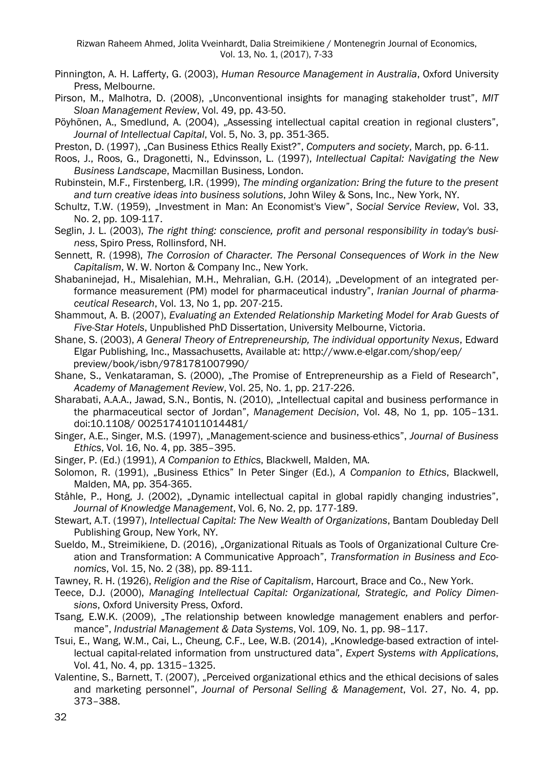- Pinnington, A. H. Lafferty, G. (2003), *Human Resource Management in Australia*, Oxford University Press, Melbourne.
- Pirson, M., Malhotra, D. (2008), "Unconventional insights for managing stakeholder trust", *MIT Sloan Management Review*, Vol. 49, pp. 43-50.
- Pöyhönen, A., Smedlund, A. (2004), "Assessing intellectual capital creation in regional clusters", *Journal of Intellectual Capital*, Vol. 5, No. 3, pp. 351-365.
- Preston, D. (1997), "Can Business Ethics Really Exist?", *Computers and society*, March, pp. 6-11.
- Roos, J., Roos, G., Dragonetti, N., Edvinsson, L. (1997), *Intellectual Capital: Navigating the New Business Landscape*, Macmillan Business, London.
- Rubinstein, M.F., Firstenberg, I.R. (1999), *The minding organization: Bring the future to the present and turn creative ideas into business solutions*, John Wiley & Sons, Inc., New York, NY.
- Schultz, T.W. (1959), "Investment in Man: An Economist's View", Social Service Review, Vol. 33, No. 2, pp. 109-117.
- Seglin, J. L. (2003), *The right thing: conscience, profit and personal responsibility in today's business*, Spiro Press, Rollinsford, NH.
- Sennett, R. (1998), *The Corrosion of Character. The Personal Consequences of Work in the New Capitalism*, W. W. Norton & Company Inc., New York.
- Shabaninejad, H., Misalehian, M.H., Mehralian, G.H. (2014), "Development of an integrated performance measurement (PM) model for pharmaceutical industry", *Iranian Journal of pharmaceutical Research*, Vol. 13, No 1, pp. 207-215.
- Shammout, A. B. (2007), *Evaluating an Extended Relationship Marketing Model for Arab Guests of Five-Star Hotels*, Unpublished PhD Dissertation, University Melbourne, Victoria.
- Shane, S. (2003), *A General Theory of Entrepreneurship, The individual opportunity Nexus*, Edward Elgar Publishing, Inc., Massachusetts, Available at: http://www.e-elgar.com/shop/eep/ preview/book/isbn/9781781007990/
- Shane, S., Venkataraman, S. (2000), "The Promise of Entrepreneurship as a Field of Research", *Academy of Management Review*, Vol. 25, No. 1, pp. 217-226.
- Sharabati, A.A.A., Jawad, S.N., Bontis, N. (2010), "Intellectual capital and business performance in the pharmaceutical sector of Jordan", *Management Decision*, Vol. 48, No 1, pp. 105–131. doi:10.1108/ 00251741011014481/
- Singer, A.E., Singer, M.S. (1997), "Management-science and business-ethics", *Journal of Business Ethics*, Vol. 16, No. 4, pp. 385–395.
- Singer, P. (Ed.) (1991), *A Companion to Ethics*, Blackwell, Malden, MA.
- Solomon, R. (1991), "Business Ethics" In Peter Singer (Ed.), *A Companion to Ethics*, Blackwell, Malden, MA, pp. 354-365.
- Ståhle, P., Hong, J. (2002), "Dynamic intellectual capital in global rapidly changing industries", *Journal of Knowledge Management*, Vol. 6, No. 2, pp. 177-189.
- Stewart, A.T. (1997), *Intellectual Capital: The New Wealth of Organizations*, Bantam Doubleday Dell Publishing Group, New York, NY.
- Sueldo, M., Streimikiene, D. (2016), "Organizational Rituals as Tools of Organizational Culture Creation and Transformation: A Communicative Approach", *Transformation in Business and Economics*, Vol. 15, No. 2 (38), pp. 89-111.
- Tawney, R. H. (1926), *Religion and the Rise of Capitalism*, Harcourt, Brace and Co., New York.
- Teece, D.J. (2000), *Managing Intellectual Capital: Organizational, Strategic, and Policy Dimensions*, Oxford University Press, Oxford.
- Tsang, E.W.K. (2009), "The relationship between knowledge management enablers and performance", *Industrial Management & Data Systems*, Vol. 109, No. 1, pp. 98–117.
- Tsui, E., Wang, W.M., Cai, L., Cheung, C.F., Lee, W.B. (2014), "Knowledge-based extraction of intellectual capital-related information from unstructured data", *Expert Systems with Applications*, Vol. 41, No. 4, pp. 1315–1325.
- Valentine, S., Barnett, T. (2007), "Perceived organizational ethics and the ethical decisions of sales and marketing personnel", *Journal of Personal Selling & Management*, Vol. 27, No. 4, pp. 373–388.